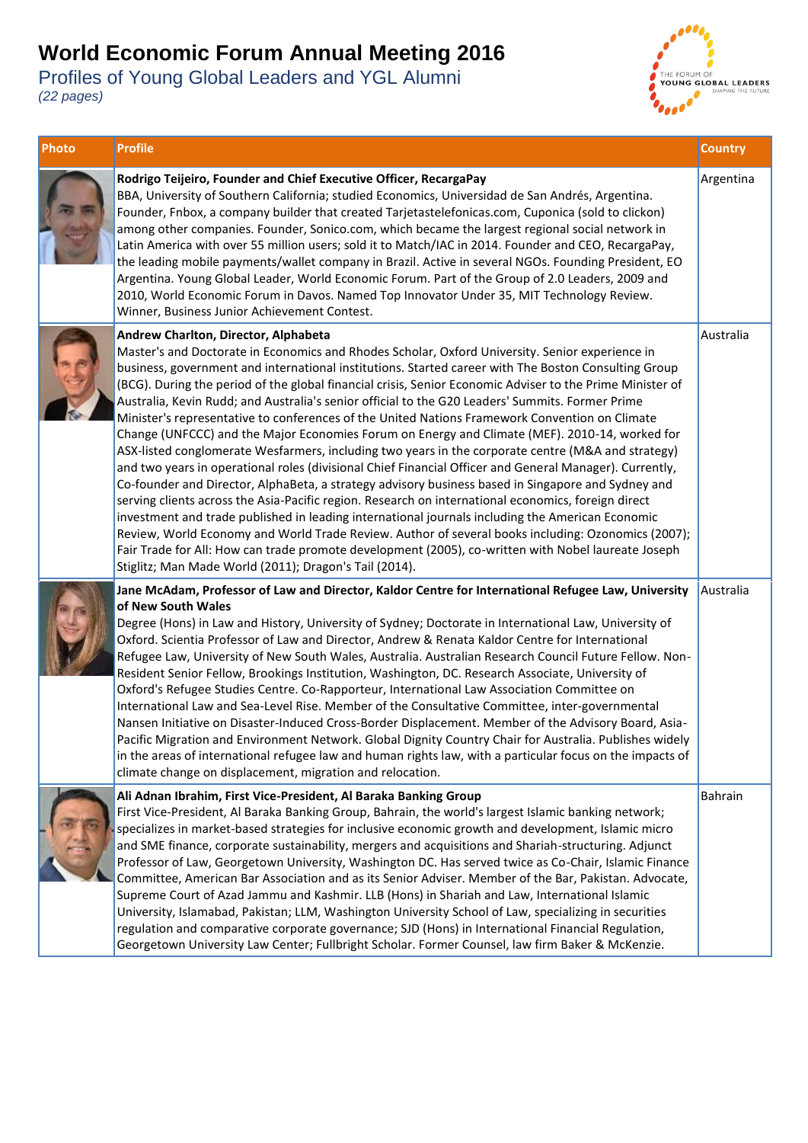

| Photo | <b>Profile</b>                                                                                                                                                                                                                                                                                                                                                                                                                                                                                                                                                                                                                                                                                                                                                                                                                                                                                                                                                                                                                                                                                                                                                                                                                                                                                                                                                                                                                                                                | <b>Country</b> |
|-------|-------------------------------------------------------------------------------------------------------------------------------------------------------------------------------------------------------------------------------------------------------------------------------------------------------------------------------------------------------------------------------------------------------------------------------------------------------------------------------------------------------------------------------------------------------------------------------------------------------------------------------------------------------------------------------------------------------------------------------------------------------------------------------------------------------------------------------------------------------------------------------------------------------------------------------------------------------------------------------------------------------------------------------------------------------------------------------------------------------------------------------------------------------------------------------------------------------------------------------------------------------------------------------------------------------------------------------------------------------------------------------------------------------------------------------------------------------------------------------|----------------|
|       | Rodrigo Teijeiro, Founder and Chief Executive Officer, RecargaPay<br>BBA, University of Southern California; studied Economics, Universidad de San Andrés, Argentina.<br>Founder, Fnbox, a company builder that created Tarjetastelefonicas.com, Cuponica (sold to clickon)<br>among other companies. Founder, Sonico.com, which became the largest regional social network in<br>Latin America with over 55 million users; sold it to Match/IAC in 2014. Founder and CEO, RecargaPay,<br>the leading mobile payments/wallet company in Brazil. Active in several NGOs. Founding President, EO<br>Argentina. Young Global Leader, World Economic Forum. Part of the Group of 2.0 Leaders, 2009 and<br>2010, World Economic Forum in Davos. Named Top Innovator Under 35, MIT Technology Review.<br>Winner, Business Junior Achievement Contest.                                                                                                                                                                                                                                                                                                                                                                                                                                                                                                                                                                                                                               | Argentina      |
|       | Andrew Charlton, Director, Alphabeta<br>Master's and Doctorate in Economics and Rhodes Scholar, Oxford University. Senior experience in<br>business, government and international institutions. Started career with The Boston Consulting Group<br>(BCG). During the period of the global financial crisis, Senior Economic Adviser to the Prime Minister of<br>Australia, Kevin Rudd; and Australia's senior official to the G20 Leaders' Summits. Former Prime<br>Minister's representative to conferences of the United Nations Framework Convention on Climate<br>Change (UNFCCC) and the Major Economies Forum on Energy and Climate (MEF). 2010-14, worked for<br>ASX-listed conglomerate Wesfarmers, including two years in the corporate centre (M&A and strategy)<br>and two years in operational roles (divisional Chief Financial Officer and General Manager). Currently,<br>Co-founder and Director, AlphaBeta, a strategy advisory business based in Singapore and Sydney and<br>serving clients across the Asia-Pacific region. Research on international economics, foreign direct<br>investment and trade published in leading international journals including the American Economic<br>Review, World Economy and World Trade Review. Author of several books including: Ozonomics (2007);<br>Fair Trade for All: How can trade promote development (2005), co-written with Nobel laureate Joseph<br>Stiglitz; Man Made World (2011); Dragon's Tail (2014). | Australia      |
|       | Jane McAdam, Professor of Law and Director, Kaldor Centre for International Refugee Law, University<br>of New South Wales<br>Degree (Hons) in Law and History, University of Sydney; Doctorate in International Law, University of<br>Oxford. Scientia Professor of Law and Director, Andrew & Renata Kaldor Centre for International<br>Refugee Law, University of New South Wales, Australia. Australian Research Council Future Fellow. Non-<br>Resident Senior Fellow, Brookings Institution, Washington, DC. Research Associate, University of<br>Oxford's Refugee Studies Centre. Co-Rapporteur, International Law Association Committee on<br>International Law and Sea-Level Rise. Member of the Consultative Committee, inter-governmental<br>Nansen Initiative on Disaster-Induced Cross-Border Displacement. Member of the Advisory Board, Asia-<br>Pacific Migration and Environment Network. Global Dignity Country Chair for Australia. Publishes widely<br>in the areas of international refugee law and human rights law, with a particular focus on the impacts of<br>climate change on displacement, migration and relocation.                                                                                                                                                                                                                                                                                                                              | Australia      |
|       | Ali Adnan Ibrahim, First Vice-President, Al Baraka Banking Group<br>First Vice-President, Al Baraka Banking Group, Bahrain, the world's largest Islamic banking network;<br>specializes in market-based strategies for inclusive economic growth and development, Islamic micro<br>and SME finance, corporate sustainability, mergers and acquisitions and Shariah-structuring. Adjunct<br>Professor of Law, Georgetown University, Washington DC. Has served twice as Co-Chair, Islamic Finance<br>Committee, American Bar Association and as its Senior Adviser. Member of the Bar, Pakistan. Advocate,<br>Supreme Court of Azad Jammu and Kashmir. LLB (Hons) in Shariah and Law, International Islamic<br>University, Islamabad, Pakistan; LLM, Washington University School of Law, specializing in securities<br>regulation and comparative corporate governance; SJD (Hons) in International Financial Regulation,<br>Georgetown University Law Center; Fullbright Scholar. Former Counsel, law firm Baker & McKenzie.                                                                                                                                                                                                                                                                                                                                                                                                                                                 | Bahrain        |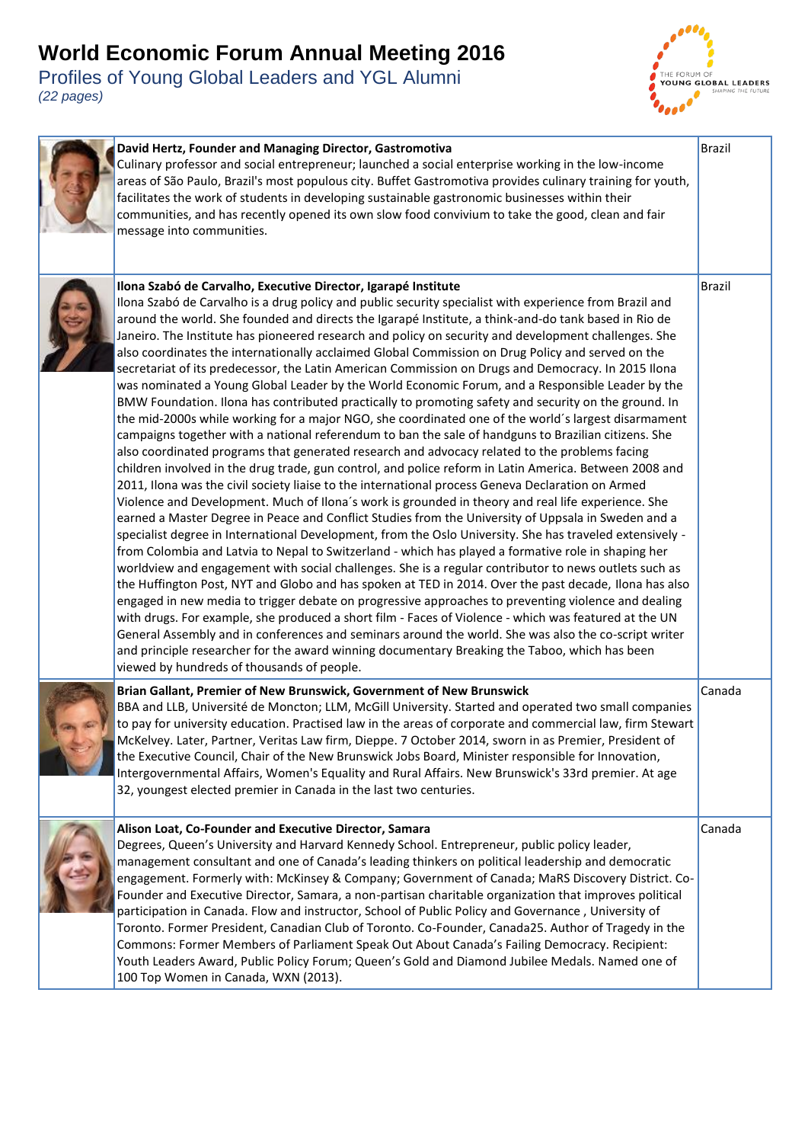

| David Hertz, Founder and Managing Director, Gastromotiva<br>Culinary professor and social entrepreneur; launched a social enterprise working in the low-income<br>areas of São Paulo, Brazil's most populous city. Buffet Gastromotiva provides culinary training for youth,<br>facilitates the work of students in developing sustainable gastronomic businesses within their<br>communities, and has recently opened its own slow food convivium to take the good, clean and fair<br>message into communities.                                                                                                                                                                                                                                                                                                                                                                                                                                                                                                                                                                                                                                                                                                                                                                                                                                                                                                                                                                                                                                                                                                                                                                                                                                                                                                                                                                                                                                                                                                                                                                                                                                                                                                                                                                                                                                                                                                                                                           | <b>Brazil</b> |
|----------------------------------------------------------------------------------------------------------------------------------------------------------------------------------------------------------------------------------------------------------------------------------------------------------------------------------------------------------------------------------------------------------------------------------------------------------------------------------------------------------------------------------------------------------------------------------------------------------------------------------------------------------------------------------------------------------------------------------------------------------------------------------------------------------------------------------------------------------------------------------------------------------------------------------------------------------------------------------------------------------------------------------------------------------------------------------------------------------------------------------------------------------------------------------------------------------------------------------------------------------------------------------------------------------------------------------------------------------------------------------------------------------------------------------------------------------------------------------------------------------------------------------------------------------------------------------------------------------------------------------------------------------------------------------------------------------------------------------------------------------------------------------------------------------------------------------------------------------------------------------------------------------------------------------------------------------------------------------------------------------------------------------------------------------------------------------------------------------------------------------------------------------------------------------------------------------------------------------------------------------------------------------------------------------------------------------------------------------------------------------------------------------------------------------------------------------------------------|---------------|
| Ilona Szabó de Carvalho, Executive Director, Igarapé Institute<br>Ilona Szabó de Carvalho is a drug policy and public security specialist with experience from Brazil and<br>around the world. She founded and directs the Igarapé Institute, a think-and-do tank based in Rio de<br>Janeiro. The Institute has pioneered research and policy on security and development challenges. She<br>also coordinates the internationally acclaimed Global Commission on Drug Policy and served on the<br>secretariat of its predecessor, the Latin American Commission on Drugs and Democracy. In 2015 Ilona<br>was nominated a Young Global Leader by the World Economic Forum, and a Responsible Leader by the<br>BMW Foundation. Ilona has contributed practically to promoting safety and security on the ground. In<br>the mid-2000s while working for a major NGO, she coordinated one of the world's largest disarmament<br>campaigns together with a national referendum to ban the sale of handguns to Brazilian citizens. She<br>also coordinated programs that generated research and advocacy related to the problems facing<br>children involved in the drug trade, gun control, and police reform in Latin America. Between 2008 and<br>2011, Ilona was the civil society liaise to the international process Geneva Declaration on Armed<br>Violence and Development. Much of Ilona's work is grounded in theory and real life experience. She<br>earned a Master Degree in Peace and Conflict Studies from the University of Uppsala in Sweden and a<br>specialist degree in International Development, from the Oslo University. She has traveled extensively -<br>from Colombia and Latvia to Nepal to Switzerland - which has played a formative role in shaping her<br>worldview and engagement with social challenges. She is a regular contributor to news outlets such as<br>the Huffington Post, NYT and Globo and has spoken at TED in 2014. Over the past decade, Ilona has also<br>engaged in new media to trigger debate on progressive approaches to preventing violence and dealing<br>with drugs. For example, she produced a short film - Faces of Violence - which was featured at the UN<br>General Assembly and in conferences and seminars around the world. She was also the co-script writer<br>and principle researcher for the award winning documentary Breaking the Taboo, which has been<br>viewed by hundreds of thousands of people. | <b>Brazil</b> |
| Brian Gallant, Premier of New Brunswick, Government of New Brunswick<br>BBA and LLB, Université de Moncton; LLM, McGill University. Started and operated two small companies<br>to pay for university education. Practised law in the areas of corporate and commercial law, firm Stewart<br>McKelvey. Later, Partner, Veritas Law firm, Dieppe. 7 October 2014, sworn in as Premier, President of<br>the Executive Council, Chair of the New Brunswick Jobs Board, Minister responsible for Innovation,<br>Intergovernmental Affairs, Women's Equality and Rural Affairs. New Brunswick's 33rd premier. At age<br>32, youngest elected premier in Canada in the last two centuries.                                                                                                                                                                                                                                                                                                                                                                                                                                                                                                                                                                                                                                                                                                                                                                                                                                                                                                                                                                                                                                                                                                                                                                                                                                                                                                                                                                                                                                                                                                                                                                                                                                                                                                                                                                                       | Canada        |
| Alison Loat, Co-Founder and Executive Director, Samara<br>Degrees, Queen's University and Harvard Kennedy School. Entrepreneur, public policy leader,<br>management consultant and one of Canada's leading thinkers on political leadership and democratic<br>engagement. Formerly with: McKinsey & Company; Government of Canada; MaRS Discovery District. Co-<br>Founder and Executive Director, Samara, a non-partisan charitable organization that improves political<br>participation in Canada. Flow and instructor, School of Public Policy and Governance, University of<br>Toronto. Former President, Canadian Club of Toronto. Co-Founder, Canada25. Author of Tragedy in the<br>Commons: Former Members of Parliament Speak Out About Canada's Failing Democracy. Recipient:<br>Youth Leaders Award, Public Policy Forum; Queen's Gold and Diamond Jubilee Medals. Named one of<br>100 Top Women in Canada, WXN (2013).                                                                                                                                                                                                                                                                                                                                                                                                                                                                                                                                                                                                                                                                                                                                                                                                                                                                                                                                                                                                                                                                                                                                                                                                                                                                                                                                                                                                                                                                                                                                         | Canada        |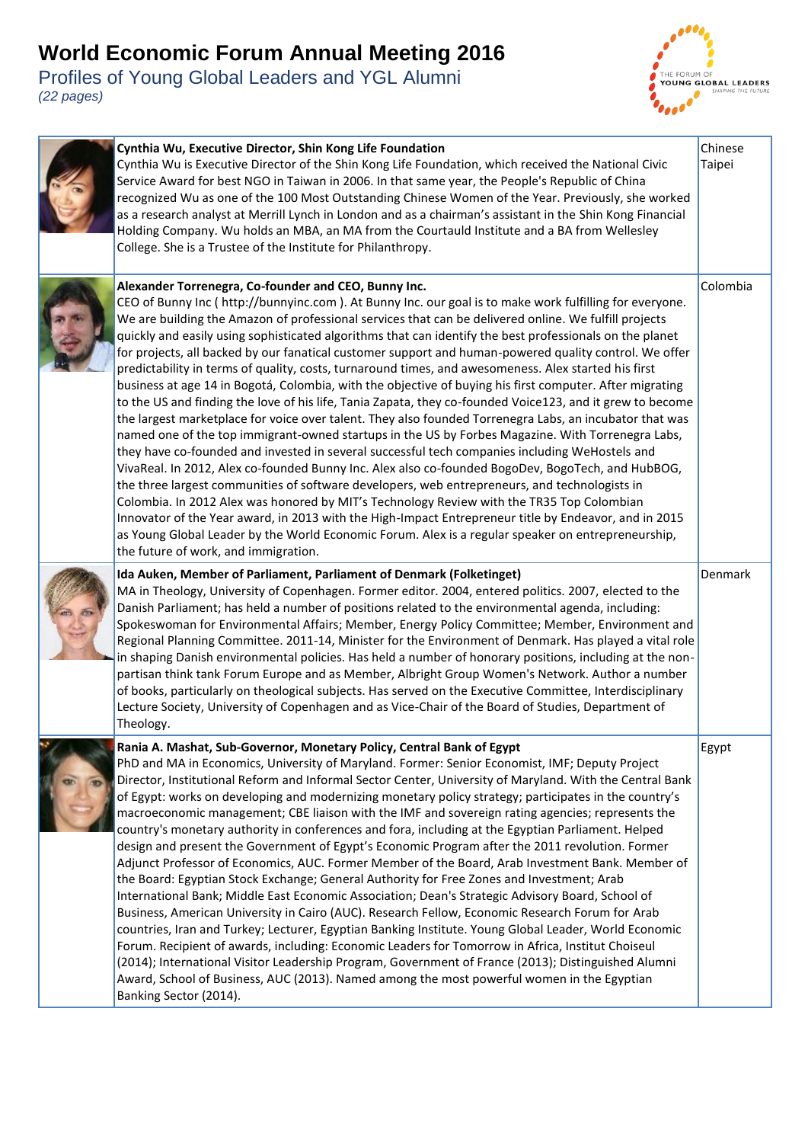

| Cynthia Wu, Executive Director, Shin Kong Life Foundation<br>Cynthia Wu is Executive Director of the Shin Kong Life Foundation, which received the National Civic<br>Service Award for best NGO in Taiwan in 2006. In that same year, the People's Republic of China<br>recognized Wu as one of the 100 Most Outstanding Chinese Women of the Year. Previously, she worked<br>as a research analyst at Merrill Lynch in London and as a chairman's assistant in the Shin Kong Financial<br>Holding Company. Wu holds an MBA, an MA from the Courtauld Institute and a BA from Wellesley<br>College. She is a Trustee of the Institute for Philanthropy.                                                                                                                                                                                                                                                                                                                                                                                                                                                                                                                                                                                                                                                                                                                                                                                                                                                                                                                                                                                                                                                     | Chinese<br>Taipei |
|-------------------------------------------------------------------------------------------------------------------------------------------------------------------------------------------------------------------------------------------------------------------------------------------------------------------------------------------------------------------------------------------------------------------------------------------------------------------------------------------------------------------------------------------------------------------------------------------------------------------------------------------------------------------------------------------------------------------------------------------------------------------------------------------------------------------------------------------------------------------------------------------------------------------------------------------------------------------------------------------------------------------------------------------------------------------------------------------------------------------------------------------------------------------------------------------------------------------------------------------------------------------------------------------------------------------------------------------------------------------------------------------------------------------------------------------------------------------------------------------------------------------------------------------------------------------------------------------------------------------------------------------------------------------------------------------------------------|-------------------|
| Alexander Torrenegra, Co-founder and CEO, Bunny Inc.<br>CEO of Bunny Inc (http://bunnyinc.com). At Bunny Inc. our goal is to make work fulfilling for everyone.<br>We are building the Amazon of professional services that can be delivered online. We fulfill projects<br>quickly and easily using sophisticated algorithms that can identify the best professionals on the planet<br>for projects, all backed by our fanatical customer support and human-powered quality control. We offer<br>predictability in terms of quality, costs, turnaround times, and awesomeness. Alex started his first<br>business at age 14 in Bogotá, Colombia, with the objective of buying his first computer. After migrating<br>to the US and finding the love of his life, Tania Zapata, they co-founded Voice123, and it grew to become<br>the largest marketplace for voice over talent. They also founded Torrenegra Labs, an incubator that was<br>named one of the top immigrant-owned startups in the US by Forbes Magazine. With Torrenegra Labs,<br>they have co-founded and invested in several successful tech companies including WeHostels and<br>VivaReal. In 2012, Alex co-founded Bunny Inc. Alex also co-founded BogoDev, BogoTech, and HubBOG,<br>the three largest communities of software developers, web entrepreneurs, and technologists in<br>Colombia. In 2012 Alex was honored by MIT's Technology Review with the TR35 Top Colombian<br>Innovator of the Year award, in 2013 with the High-Impact Entrepreneur title by Endeavor, and in 2015<br>as Young Global Leader by the World Economic Forum. Alex is a regular speaker on entrepreneurship,<br>the future of work, and immigration. | Colombia          |
| Ida Auken, Member of Parliament, Parliament of Denmark (Folketinget)<br>MA in Theology, University of Copenhagen. Former editor. 2004, entered politics. 2007, elected to the<br>Danish Parliament; has held a number of positions related to the environmental agenda, including:<br>Spokeswoman for Environmental Affairs; Member, Energy Policy Committee; Member, Environment and<br>Regional Planning Committee. 2011-14, Minister for the Environment of Denmark. Has played a vital role<br>in shaping Danish environmental policies. Has held a number of honorary positions, including at the non-<br>partisan think tank Forum Europe and as Member, Albright Group Women's Network. Author a number<br>of books, particularly on theological subjects. Has served on the Executive Committee, Interdisciplinary<br>Lecture Society, University of Copenhagen and as Vice-Chair of the Board of Studies, Department of<br>Theology.                                                                                                                                                                                                                                                                                                                                                                                                                                                                                                                                                                                                                                                                                                                                                               | Denmark           |
| Rania A. Mashat, Sub-Governor, Monetary Policy, Central Bank of Egypt<br>PhD and MA in Economics, University of Maryland. Former: Senior Economist, IMF; Deputy Project<br>Director, Institutional Reform and Informal Sector Center, University of Maryland. With the Central Bank<br>of Egypt: works on developing and modernizing monetary policy strategy; participates in the country's<br>macroeconomic management; CBE liaison with the IMF and sovereign rating agencies; represents the<br>country's monetary authority in conferences and fora, including at the Egyptian Parliament. Helped<br>design and present the Government of Egypt's Economic Program after the 2011 revolution. Former<br>Adjunct Professor of Economics, AUC. Former Member of the Board, Arab Investment Bank. Member of<br>the Board: Egyptian Stock Exchange; General Authority for Free Zones and Investment; Arab<br>International Bank; Middle East Economic Association; Dean's Strategic Advisory Board, School of<br>Business, American University in Cairo (AUC). Research Fellow, Economic Research Forum for Arab<br>countries, Iran and Turkey; Lecturer, Egyptian Banking Institute. Young Global Leader, World Economic<br>Forum. Recipient of awards, including: Economic Leaders for Tomorrow in Africa, Institut Choiseul<br>(2014); International Visitor Leadership Program, Government of France (2013); Distinguished Alumni<br>Award, School of Business, AUC (2013). Named among the most powerful women in the Egyptian<br>Banking Sector (2014).                                                                                                                                              | Egypt             |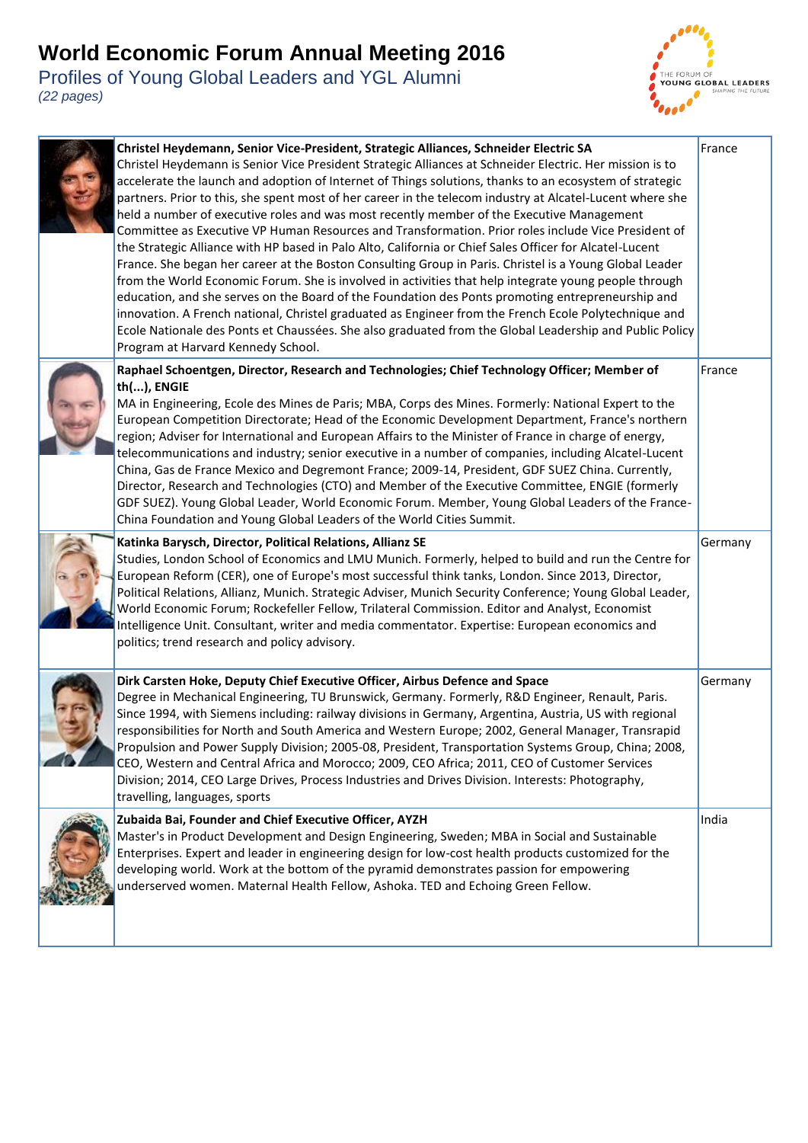Profiles of Young Global Leaders and YGL Alumni *(22 pages)* 

i.



| Christel Heydemann, Senior Vice-President, Strategic Alliances, Schneider Electric SA<br>Christel Heydemann is Senior Vice President Strategic Alliances at Schneider Electric. Her mission is to<br>accelerate the launch and adoption of Internet of Things solutions, thanks to an ecosystem of strategic<br>partners. Prior to this, she spent most of her career in the telecom industry at Alcatel-Lucent where she<br>held a number of executive roles and was most recently member of the Executive Management<br>Committee as Executive VP Human Resources and Transformation. Prior roles include Vice President of<br>the Strategic Alliance with HP based in Palo Alto, California or Chief Sales Officer for Alcatel-Lucent<br>France. She began her career at the Boston Consulting Group in Paris. Christel is a Young Global Leader<br>from the World Economic Forum. She is involved in activities that help integrate young people through<br>education, and she serves on the Board of the Foundation des Ponts promoting entrepreneurship and<br>innovation. A French national, Christel graduated as Engineer from the French Ecole Polytechnique and<br>Ecole Nationale des Ponts et Chaussées. She also graduated from the Global Leadership and Public Policy<br>Program at Harvard Kennedy School. | France  |
|-----------------------------------------------------------------------------------------------------------------------------------------------------------------------------------------------------------------------------------------------------------------------------------------------------------------------------------------------------------------------------------------------------------------------------------------------------------------------------------------------------------------------------------------------------------------------------------------------------------------------------------------------------------------------------------------------------------------------------------------------------------------------------------------------------------------------------------------------------------------------------------------------------------------------------------------------------------------------------------------------------------------------------------------------------------------------------------------------------------------------------------------------------------------------------------------------------------------------------------------------------------------------------------------------------------------------------|---------|
| Raphael Schoentgen, Director, Research and Technologies; Chief Technology Officer; Member of<br>th(), ENGIE<br>MA in Engineering, Ecole des Mines de Paris; MBA, Corps des Mines. Formerly: National Expert to the<br>European Competition Directorate; Head of the Economic Development Department, France's northern<br>region; Adviser for International and European Affairs to the Minister of France in charge of energy,<br>telecommunications and industry; senior executive in a number of companies, including Alcatel-Lucent<br>China, Gas de France Mexico and Degremont France; 2009-14, President, GDF SUEZ China. Currently,<br>Director, Research and Technologies (CTO) and Member of the Executive Committee, ENGIE (formerly<br>GDF SUEZ). Young Global Leader, World Economic Forum. Member, Young Global Leaders of the France-<br>China Foundation and Young Global Leaders of the World Cities Summit.                                                                                                                                                                                                                                                                                                                                                                                               | France  |
| Katinka Barysch, Director, Political Relations, Allianz SE<br>Studies, London School of Economics and LMU Munich. Formerly, helped to build and run the Centre for<br>European Reform (CER), one of Europe's most successful think tanks, London. Since 2013, Director,<br>Political Relations, Allianz, Munich. Strategic Adviser, Munich Security Conference; Young Global Leader,<br>World Economic Forum; Rockefeller Fellow, Trilateral Commission. Editor and Analyst, Economist<br>Intelligence Unit. Consultant, writer and media commentator. Expertise: European economics and<br>politics; trend research and policy advisory.                                                                                                                                                                                                                                                                                                                                                                                                                                                                                                                                                                                                                                                                                   | Germany |
| Dirk Carsten Hoke, Deputy Chief Executive Officer, Airbus Defence and Space<br>Degree in Mechanical Engineering, TU Brunswick, Germany. Formerly, R&D Engineer, Renault, Paris.<br>Since 1994, with Siemens including: railway divisions in Germany, Argentina, Austria, US with regional<br>responsibilities for North and South America and Western Europe; 2002, General Manager, Transrapid<br>Propulsion and Power Supply Division; 2005-08, President, Transportation Systems Group, China; 2008,<br>CEO, Western and Central Africa and Morocco; 2009, CEO Africa; 2011, CEO of Customer Services<br>Division; 2014, CEO Large Drives, Process Industries and Drives Division. Interests: Photography,<br>travelling, languages, sports                                                                                                                                                                                                                                                                                                                                                                                                                                                                                                                                                                              | Germany |
| Zubaida Bai, Founder and Chief Executive Officer, AYZH<br>Master's in Product Development and Design Engineering, Sweden; MBA in Social and Sustainable<br>Enterprises. Expert and leader in engineering design for low-cost health products customized for the<br>developing world. Work at the bottom of the pyramid demonstrates passion for empowering<br>underserved women. Maternal Health Fellow, Ashoka. TED and Echoing Green Fellow.                                                                                                                                                                                                                                                                                                                                                                                                                                                                                                                                                                                                                                                                                                                                                                                                                                                                              | India   |
|                                                                                                                                                                                                                                                                                                                                                                                                                                                                                                                                                                                                                                                                                                                                                                                                                                                                                                                                                                                                                                                                                                                                                                                                                                                                                                                             |         |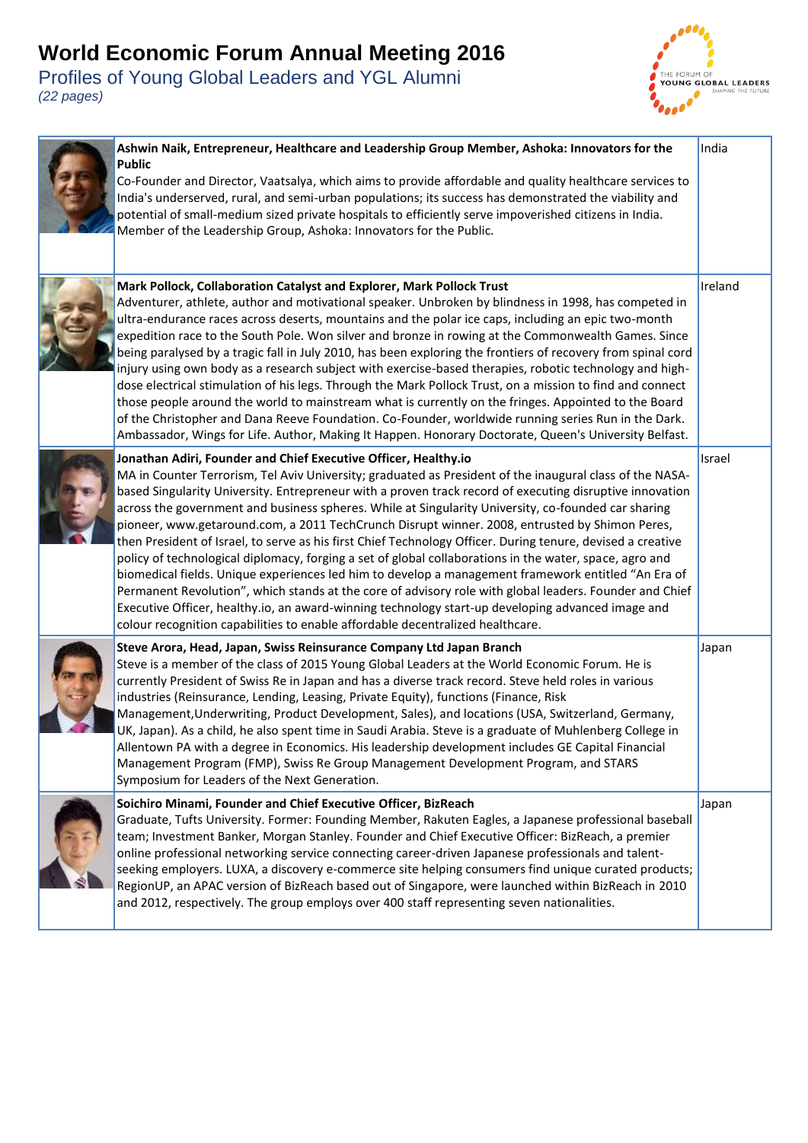

| Ashwin Naik, Entrepreneur, Healthcare and Leadership Group Member, Ashoka: Innovators for the<br><b>Public</b><br>Co-Founder and Director, Vaatsalya, which aims to provide affordable and quality healthcare services to<br>India's underserved, rural, and semi-urban populations; its success has demonstrated the viability and<br>potential of small-medium sized private hospitals to efficiently serve impoverished citizens in India.<br>Member of the Leadership Group, Ashoka: Innovators for the Public.                                                                                                                                                                                                                                                                                                                                                                                                                                                                                                                                                                                                                 | India   |
|-------------------------------------------------------------------------------------------------------------------------------------------------------------------------------------------------------------------------------------------------------------------------------------------------------------------------------------------------------------------------------------------------------------------------------------------------------------------------------------------------------------------------------------------------------------------------------------------------------------------------------------------------------------------------------------------------------------------------------------------------------------------------------------------------------------------------------------------------------------------------------------------------------------------------------------------------------------------------------------------------------------------------------------------------------------------------------------------------------------------------------------|---------|
| Mark Pollock, Collaboration Catalyst and Explorer, Mark Pollock Trust<br>Adventurer, athlete, author and motivational speaker. Unbroken by blindness in 1998, has competed in<br>ultra-endurance races across deserts, mountains and the polar ice caps, including an epic two-month<br>expedition race to the South Pole. Won silver and bronze in rowing at the Commonwealth Games. Since<br>being paralysed by a tragic fall in July 2010, has been exploring the frontiers of recovery from spinal cord<br>injury using own body as a research subject with exercise-based therapies, robotic technology and high-<br>dose electrical stimulation of his legs. Through the Mark Pollock Trust, on a mission to find and connect<br>those people around the world to mainstream what is currently on the fringes. Appointed to the Board<br>of the Christopher and Dana Reeve Foundation. Co-Founder, worldwide running series Run in the Dark.<br>Ambassador, Wings for Life. Author, Making It Happen. Honorary Doctorate, Queen's University Belfast.                                                                         | Ireland |
| Jonathan Adiri, Founder and Chief Executive Officer, Healthy.io<br>MA in Counter Terrorism, Tel Aviv University; graduated as President of the inaugural class of the NASA-<br>based Singularity University. Entrepreneur with a proven track record of executing disruptive innovation<br>across the government and business spheres. While at Singularity University, co-founded car sharing<br>pioneer, www.getaround.com, a 2011 TechCrunch Disrupt winner. 2008, entrusted by Shimon Peres,<br>then President of Israel, to serve as his first Chief Technology Officer. During tenure, devised a creative<br>policy of technological diplomacy, forging a set of global collaborations in the water, space, agro and<br>biomedical fields. Unique experiences led him to develop a management framework entitled "An Era of<br>Permanent Revolution", which stands at the core of advisory role with global leaders. Founder and Chief<br>Executive Officer, healthy.io, an award-winning technology start-up developing advanced image and<br>colour recognition capabilities to enable affordable decentralized healthcare. | Israel  |
| Steve Arora, Head, Japan, Swiss Reinsurance Company Ltd Japan Branch<br>Steve is a member of the class of 2015 Young Global Leaders at the World Economic Forum. He is<br>currently President of Swiss Re in Japan and has a diverse track record. Steve held roles in various<br>industries (Reinsurance, Lending, Leasing, Private Equity), functions (Finance, Risk<br>Management, Underwriting, Product Development, Sales), and locations (USA, Switzerland, Germany,<br>UK, Japan). As a child, he also spent time in Saudi Arabia. Steve is a graduate of Muhlenberg College in<br>Allentown PA with a degree in Economics. His leadership development includes GE Capital Financial<br>Management Program (FMP), Swiss Re Group Management Development Program, and STARS<br>Symposium for Leaders of the Next Generation.                                                                                                                                                                                                                                                                                                  | Japan   |
| Soichiro Minami, Founder and Chief Executive Officer, BizReach<br>Graduate, Tufts University. Former: Founding Member, Rakuten Eagles, a Japanese professional baseball<br>team; Investment Banker, Morgan Stanley. Founder and Chief Executive Officer: BizReach, a premier<br>online professional networking service connecting career-driven Japanese professionals and talent-<br>seeking employers. LUXA, a discovery e-commerce site helping consumers find unique curated products;<br>RegionUP, an APAC version of BizReach based out of Singapore, were launched within BizReach in 2010<br>and 2012, respectively. The group employs over 400 staff representing seven nationalities.                                                                                                                                                                                                                                                                                                                                                                                                                                     | Japan   |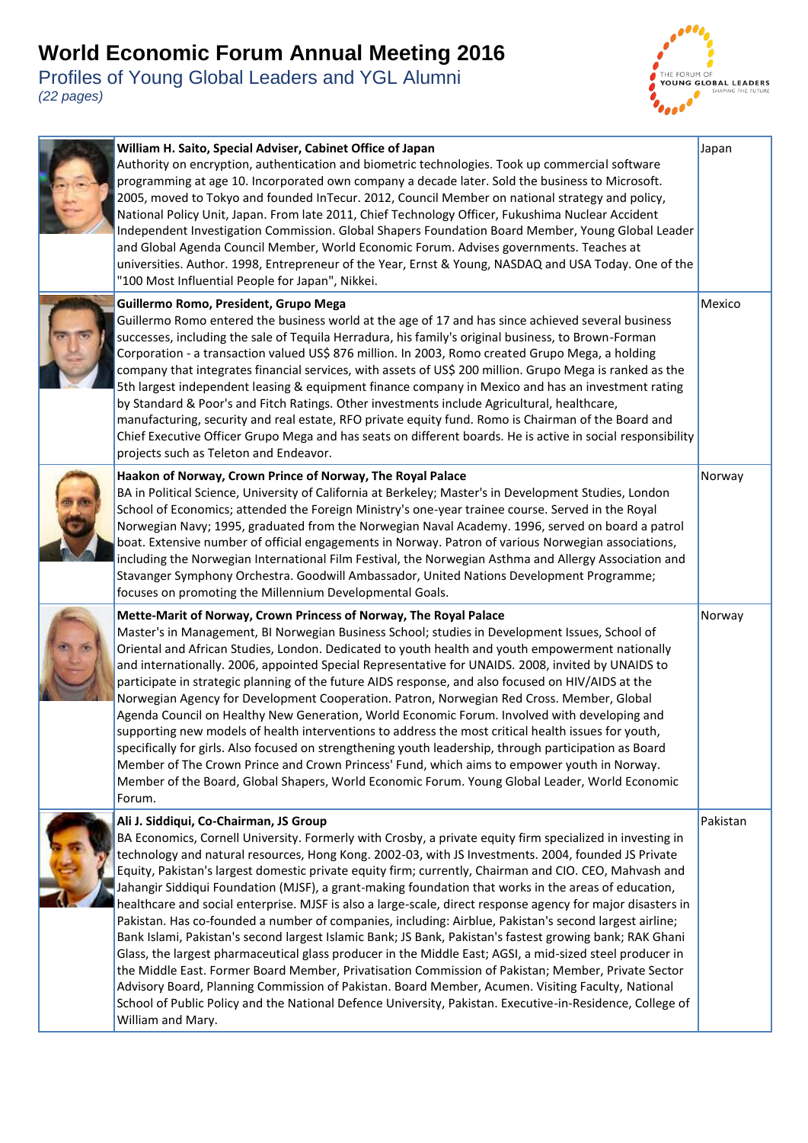

| William H. Saito, Special Adviser, Cabinet Office of Japan<br>Authority on encryption, authentication and biometric technologies. Took up commercial software<br>programming at age 10. Incorporated own company a decade later. Sold the business to Microsoft.<br>2005, moved to Tokyo and founded InTecur. 2012, Council Member on national strategy and policy,<br>National Policy Unit, Japan. From late 2011, Chief Technology Officer, Fukushima Nuclear Accident<br>Independent Investigation Commission. Global Shapers Foundation Board Member, Young Global Leader<br>and Global Agenda Council Member, World Economic Forum. Advises governments. Teaches at<br>universities. Author. 1998, Entrepreneur of the Year, Ernst & Young, NASDAQ and USA Today. One of the<br>"100 Most Influential People for Japan", Nikkei.                                                                                                                                                                                                                                                                                                                                                                                                                                      | Japan    |
|----------------------------------------------------------------------------------------------------------------------------------------------------------------------------------------------------------------------------------------------------------------------------------------------------------------------------------------------------------------------------------------------------------------------------------------------------------------------------------------------------------------------------------------------------------------------------------------------------------------------------------------------------------------------------------------------------------------------------------------------------------------------------------------------------------------------------------------------------------------------------------------------------------------------------------------------------------------------------------------------------------------------------------------------------------------------------------------------------------------------------------------------------------------------------------------------------------------------------------------------------------------------------|----------|
| Guillermo Romo, President, Grupo Mega<br>Guillermo Romo entered the business world at the age of 17 and has since achieved several business<br>successes, including the sale of Tequila Herradura, his family's original business, to Brown-Forman<br>Corporation - a transaction valued US\$ 876 million. In 2003, Romo created Grupo Mega, a holding<br>company that integrates financial services, with assets of US\$ 200 million. Grupo Mega is ranked as the<br>5th largest independent leasing & equipment finance company in Mexico and has an investment rating<br>by Standard & Poor's and Fitch Ratings. Other investments include Agricultural, healthcare,<br>manufacturing, security and real estate, RFO private equity fund. Romo is Chairman of the Board and<br>Chief Executive Officer Grupo Mega and has seats on different boards. He is active in social responsibility<br>projects such as Teleton and Endeavor.                                                                                                                                                                                                                                                                                                                                    | Mexico   |
| Haakon of Norway, Crown Prince of Norway, The Royal Palace<br>BA in Political Science, University of California at Berkeley; Master's in Development Studies, London<br>School of Economics; attended the Foreign Ministry's one-year trainee course. Served in the Royal<br>Norwegian Navy; 1995, graduated from the Norwegian Naval Academy. 1996, served on board a patrol<br>boat. Extensive number of official engagements in Norway. Patron of various Norwegian associations,<br>including the Norwegian International Film Festival, the Norwegian Asthma and Allergy Association and<br>Stavanger Symphony Orchestra. Goodwill Ambassador, United Nations Development Programme;<br>focuses on promoting the Millennium Developmental Goals.                                                                                                                                                                                                                                                                                                                                                                                                                                                                                                                      | Norway   |
| Mette-Marit of Norway, Crown Princess of Norway, The Royal Palace<br>Master's in Management, BI Norwegian Business School; studies in Development Issues, School of<br>Oriental and African Studies, London. Dedicated to youth health and youth empowerment nationally<br>and internationally. 2006, appointed Special Representative for UNAIDS. 2008, invited by UNAIDS to<br>participate in strategic planning of the future AIDS response, and also focused on HIV/AIDS at the<br>Norwegian Agency for Development Cooperation. Patron, Norwegian Red Cross. Member, Global<br>Agenda Council on Healthy New Generation, World Economic Forum. Involved with developing and<br>supporting new models of health interventions to address the most critical health issues for youth,<br>specifically for girls. Also focused on strengthening youth leadership, through participation as Board<br>Member of The Crown Prince and Crown Princess' Fund, which aims to empower youth in Norway.<br>Member of the Board, Global Shapers, World Economic Forum. Young Global Leader, World Economic<br>Forum.                                                                                                                                                               | Norway   |
| Ali J. Siddiqui, Co-Chairman, JS Group<br>BA Economics, Cornell University. Formerly with Crosby, a private equity firm specialized in investing in<br>technology and natural resources, Hong Kong. 2002-03, with JS Investments. 2004, founded JS Private<br>Equity, Pakistan's largest domestic private equity firm; currently, Chairman and CIO. CEO, Mahvash and<br>Jahangir Siddiqui Foundation (MJSF), a grant-making foundation that works in the areas of education,<br>healthcare and social enterprise. MJSF is also a large-scale, direct response agency for major disasters in<br>Pakistan. Has co-founded a number of companies, including: Airblue, Pakistan's second largest airline;<br>Bank Islami, Pakistan's second largest Islamic Bank; JS Bank, Pakistan's fastest growing bank; RAK Ghani<br>Glass, the largest pharmaceutical glass producer in the Middle East; AGSI, a mid-sized steel producer in<br>the Middle East. Former Board Member, Privatisation Commission of Pakistan; Member, Private Sector<br>Advisory Board, Planning Commission of Pakistan. Board Member, Acumen. Visiting Faculty, National<br>School of Public Policy and the National Defence University, Pakistan. Executive-in-Residence, College of<br>William and Mary. | Pakistan |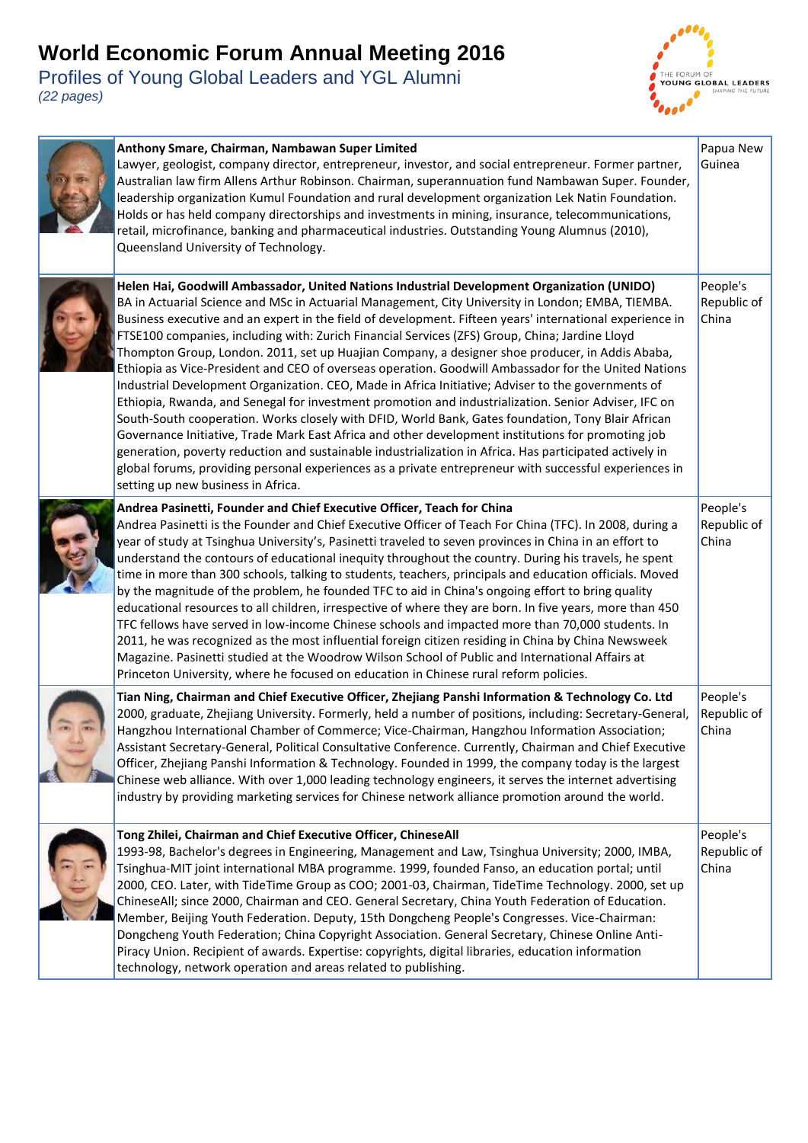

| Anthony Smare, Chairman, Nambawan Super Limited<br>Lawyer, geologist, company director, entrepreneur, investor, and social entrepreneur. Former partner,<br>Australian law firm Allens Arthur Robinson. Chairman, superannuation fund Nambawan Super. Founder,<br>leadership organization Kumul Foundation and rural development organization Lek Natin Foundation.<br>Holds or has held company directorships and investments in mining, insurance, telecommunications,<br>retail, microfinance, banking and pharmaceutical industries. Outstanding Young Alumnus (2010),<br>Queensland University of Technology.                                                                                                                                                                                                                                                                                                                                                                                                                                                                                                                                                                                                                                                                                            | Papua New<br>Guinea              |
|---------------------------------------------------------------------------------------------------------------------------------------------------------------------------------------------------------------------------------------------------------------------------------------------------------------------------------------------------------------------------------------------------------------------------------------------------------------------------------------------------------------------------------------------------------------------------------------------------------------------------------------------------------------------------------------------------------------------------------------------------------------------------------------------------------------------------------------------------------------------------------------------------------------------------------------------------------------------------------------------------------------------------------------------------------------------------------------------------------------------------------------------------------------------------------------------------------------------------------------------------------------------------------------------------------------|----------------------------------|
| Helen Hai, Goodwill Ambassador, United Nations Industrial Development Organization (UNIDO)<br>BA in Actuarial Science and MSc in Actuarial Management, City University in London; EMBA, TIEMBA.<br>Business executive and an expert in the field of development. Fifteen years' international experience in<br>FTSE100 companies, including with: Zurich Financial Services (ZFS) Group, China; Jardine Lloyd<br>Thompton Group, London. 2011, set up Huajian Company, a designer shoe producer, in Addis Ababa,<br>Ethiopia as Vice-President and CEO of overseas operation. Goodwill Ambassador for the United Nations<br>Industrial Development Organization. CEO, Made in Africa Initiative; Adviser to the governments of<br>Ethiopia, Rwanda, and Senegal for investment promotion and industrialization. Senior Adviser, IFC on<br>South-South cooperation. Works closely with DFID, World Bank, Gates foundation, Tony Blair African<br>Governance Initiative, Trade Mark East Africa and other development institutions for promoting job<br>generation, poverty reduction and sustainable industrialization in Africa. Has participated actively in<br>global forums, providing personal experiences as a private entrepreneur with successful experiences in<br>setting up new business in Africa. | People's<br>Republic of<br>China |
| Andrea Pasinetti, Founder and Chief Executive Officer, Teach for China<br>Andrea Pasinetti is the Founder and Chief Executive Officer of Teach For China (TFC). In 2008, during a<br>year of study at Tsinghua University's, Pasinetti traveled to seven provinces in China in an effort to<br>understand the contours of educational inequity throughout the country. During his travels, he spent<br>time in more than 300 schools, talking to students, teachers, principals and education officials. Moved<br>by the magnitude of the problem, he founded TFC to aid in China's ongoing effort to bring quality<br>educational resources to all children, irrespective of where they are born. In five years, more than 450<br>TFC fellows have served in low-income Chinese schools and impacted more than 70,000 students. In<br>2011, he was recognized as the most influential foreign citizen residing in China by China Newsweek<br>Magazine. Pasinetti studied at the Woodrow Wilson School of Public and International Affairs at<br>Princeton University, where he focused on education in Chinese rural reform policies.                                                                                                                                                                        | People's<br>Republic of<br>China |
| Tian Ning, Chairman and Chief Executive Officer, Zhejiang Panshi Information & Technology Co. Ltd<br>2000, graduate, Zhejiang University. Formerly, held a number of positions, including: Secretary-General,<br>Hangzhou International Chamber of Commerce; Vice-Chairman, Hangzhou Information Association;<br>Assistant Secretary-General, Political Consultative Conference. Currently, Chairman and Chief Executive<br>Officer, Zhejiang Panshi Information & Technology. Founded in 1999, the company today is the largest<br>Chinese web alliance. With over 1,000 leading technology engineers, it serves the internet advertising<br>industry by providing marketing services for Chinese network alliance promotion around the world.                                                                                                                                                                                                                                                                                                                                                                                                                                                                                                                                                               | People's<br>Republic of<br>China |
| Tong Zhilei, Chairman and Chief Executive Officer, ChineseAll<br>1993-98, Bachelor's degrees in Engineering, Management and Law, Tsinghua University; 2000, IMBA,<br>Tsinghua-MIT joint international MBA programme. 1999, founded Fanso, an education portal; until<br>2000, CEO. Later, with TideTime Group as COO; 2001-03, Chairman, TideTime Technology. 2000, set up<br>ChineseAll; since 2000, Chairman and CEO. General Secretary, China Youth Federation of Education.<br>Member, Beijing Youth Federation. Deputy, 15th Dongcheng People's Congresses. Vice-Chairman:<br>Dongcheng Youth Federation; China Copyright Association. General Secretary, Chinese Online Anti-<br>Piracy Union. Recipient of awards. Expertise: copyrights, digital libraries, education information<br>technology, network operation and areas related to publishing.                                                                                                                                                                                                                                                                                                                                                                                                                                                   | People's<br>Republic of<br>China |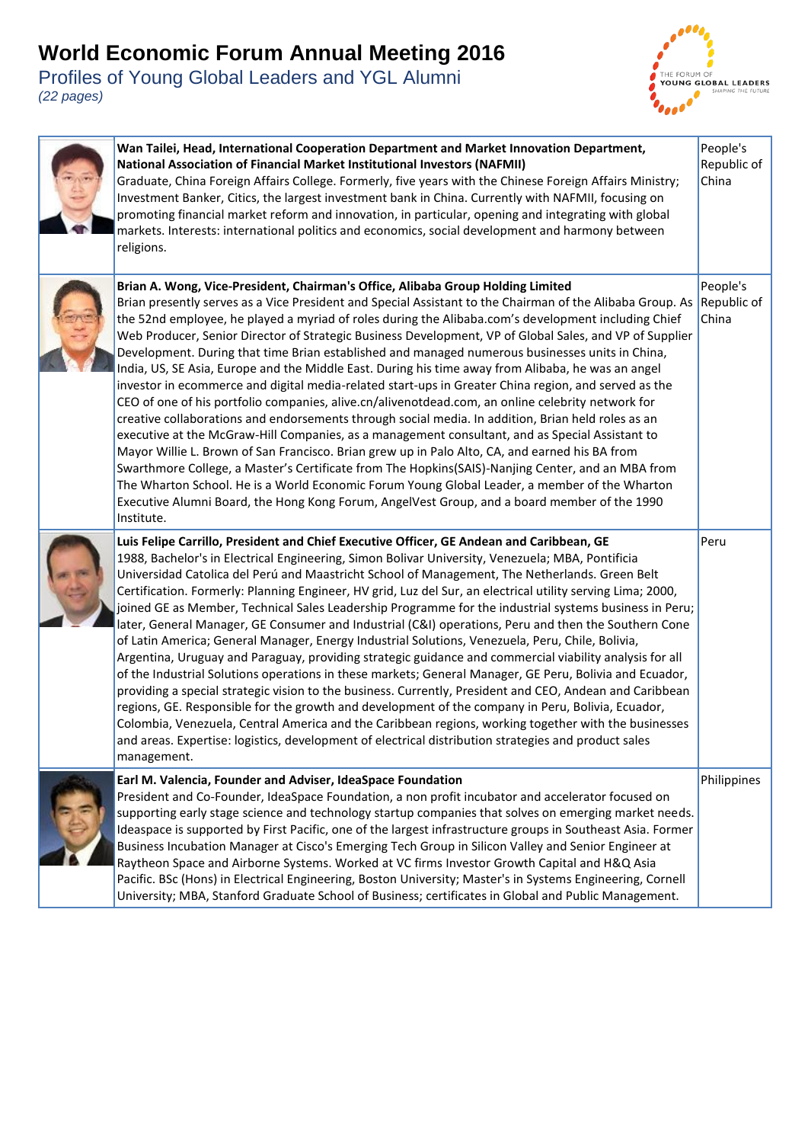

| Wan Tailei, Head, International Cooperation Department and Market Innovation Department,<br><b>National Association of Financial Market Institutional Investors (NAFMII)</b><br>Graduate, China Foreign Affairs College. Formerly, five years with the Chinese Foreign Affairs Ministry;<br>Investment Banker, Citics, the largest investment bank in China. Currently with NAFMII, focusing on<br>promoting financial market reform and innovation, in particular, opening and integrating with global<br>markets. Interests: international politics and economics, social development and harmony between<br>religions.                                                                                                                                                                                                                                                                                                                                                                                                                                                                                                                                                                                                                                                                                                                                                                                                                                           | People's<br>Republic of<br>China |
|---------------------------------------------------------------------------------------------------------------------------------------------------------------------------------------------------------------------------------------------------------------------------------------------------------------------------------------------------------------------------------------------------------------------------------------------------------------------------------------------------------------------------------------------------------------------------------------------------------------------------------------------------------------------------------------------------------------------------------------------------------------------------------------------------------------------------------------------------------------------------------------------------------------------------------------------------------------------------------------------------------------------------------------------------------------------------------------------------------------------------------------------------------------------------------------------------------------------------------------------------------------------------------------------------------------------------------------------------------------------------------------------------------------------------------------------------------------------|----------------------------------|
| Brian A. Wong, Vice-President, Chairman's Office, Alibaba Group Holding Limited<br>Brian presently serves as a Vice President and Special Assistant to the Chairman of the Alibaba Group. As<br>the 52nd employee, he played a myriad of roles during the Alibaba.com's development including Chief<br>Web Producer, Senior Director of Strategic Business Development, VP of Global Sales, and VP of Supplier<br>Development. During that time Brian established and managed numerous businesses units in China,<br>India, US, SE Asia, Europe and the Middle East. During his time away from Alibaba, he was an angel<br>investor in ecommerce and digital media-related start-ups in Greater China region, and served as the<br>CEO of one of his portfolio companies, alive.cn/alivenotdead.com, an online celebrity network for<br>creative collaborations and endorsements through social media. In addition, Brian held roles as an<br>executive at the McGraw-Hill Companies, as a management consultant, and as Special Assistant to<br>Mayor Willie L. Brown of San Francisco. Brian grew up in Palo Alto, CA, and earned his BA from<br>Swarthmore College, a Master's Certificate from The Hopkins(SAIS)-Nanjing Center, and an MBA from<br>The Wharton School. He is a World Economic Forum Young Global Leader, a member of the Wharton<br>Executive Alumni Board, the Hong Kong Forum, AngelVest Group, and a board member of the 1990<br>Institute. | People's<br>Republic of<br>China |
| Luis Felipe Carrillo, President and Chief Executive Officer, GE Andean and Caribbean, GE<br>1988, Bachelor's in Electrical Engineering, Simon Bolivar University, Venezuela; MBA, Pontificia<br>Universidad Catolica del Perú and Maastricht School of Management, The Netherlands. Green Belt<br>Certification. Formerly: Planning Engineer, HV grid, Luz del Sur, an electrical utility serving Lima; 2000,<br>joined GE as Member, Technical Sales Leadership Programme for the industrial systems business in Peru;<br>later, General Manager, GE Consumer and Industrial (C&I) operations, Peru and then the Southern Cone<br>of Latin America; General Manager, Energy Industrial Solutions, Venezuela, Peru, Chile, Bolivia,<br>Argentina, Uruguay and Paraguay, providing strategic guidance and commercial viability analysis for all<br>of the Industrial Solutions operations in these markets; General Manager, GE Peru, Bolivia and Ecuador,<br>providing a special strategic vision to the business. Currently, President and CEO, Andean and Caribbean<br>regions, GE. Responsible for the growth and development of the company in Peru, Bolivia, Ecuador,<br>Colombia, Venezuela, Central America and the Caribbean regions, working together with the businesses<br>and areas. Expertise: logistics, development of electrical distribution strategies and product sales<br>management.                                                           | Peru                             |
| Earl M. Valencia, Founder and Adviser, IdeaSpace Foundation<br>President and Co-Founder, IdeaSpace Foundation, a non profit incubator and accelerator focused on<br>supporting early stage science and technology startup companies that solves on emerging market needs.<br>Ideaspace is supported by First Pacific, one of the largest infrastructure groups in Southeast Asia. Former<br>Business Incubation Manager at Cisco's Emerging Tech Group in Silicon Valley and Senior Engineer at<br>Raytheon Space and Airborne Systems. Worked at VC firms Investor Growth Capital and H&Q Asia<br>Pacific. BSc (Hons) in Electrical Engineering, Boston University; Master's in Systems Engineering, Cornell<br>University; MBA, Stanford Graduate School of Business; certificates in Global and Public Management.                                                                                                                                                                                                                                                                                                                                                                                                                                                                                                                                                                                                                                               | Philippines                      |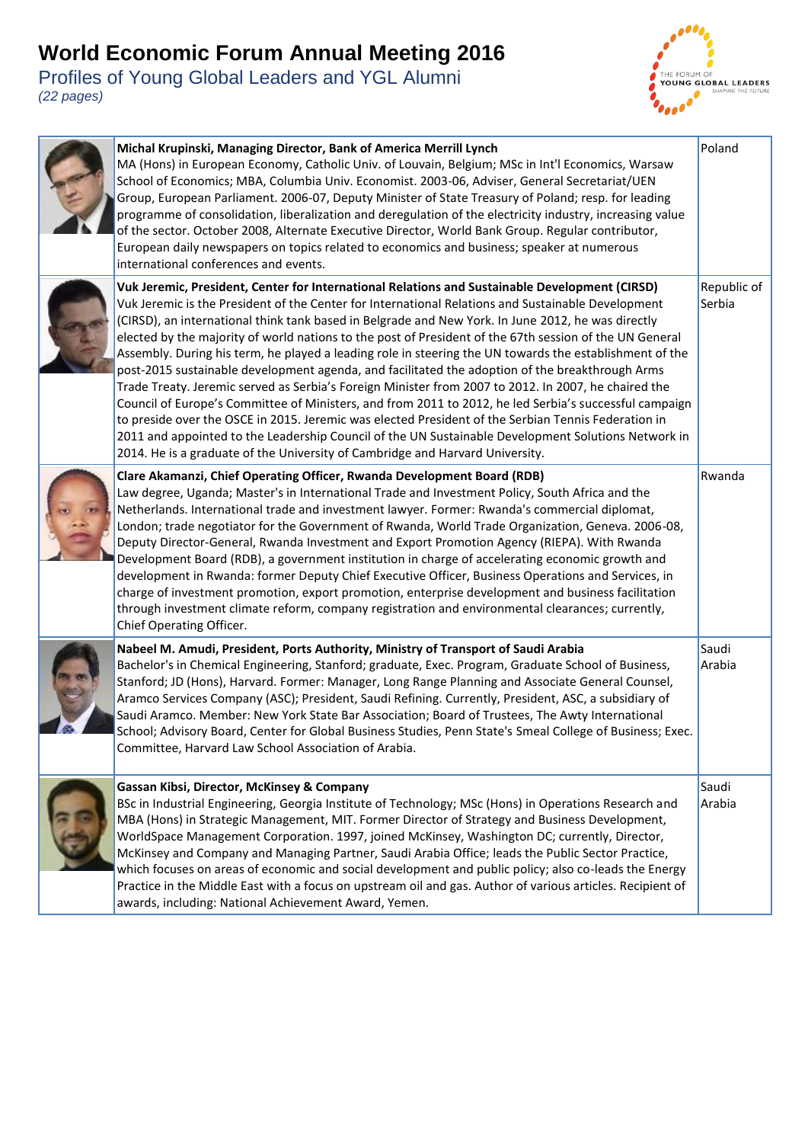

| Michal Krupinski, Managing Director, Bank of America Merrill Lynch<br>MA (Hons) in European Economy, Catholic Univ. of Louvain, Belgium; MSc in Int'l Economics, Warsaw<br>School of Economics; MBA, Columbia Univ. Economist. 2003-06, Adviser, General Secretariat/UEN<br>Group, European Parliament. 2006-07, Deputy Minister of State Treasury of Poland; resp. for leading<br>programme of consolidation, liberalization and deregulation of the electricity industry, increasing value<br>of the sector. October 2008, Alternate Executive Director, World Bank Group. Regular contributor,<br>European daily newspapers on topics related to economics and business; speaker at numerous<br>international conferences and events.                                                                                                                                                                                                                                                                                                                                                                                                             | Poland                |
|------------------------------------------------------------------------------------------------------------------------------------------------------------------------------------------------------------------------------------------------------------------------------------------------------------------------------------------------------------------------------------------------------------------------------------------------------------------------------------------------------------------------------------------------------------------------------------------------------------------------------------------------------------------------------------------------------------------------------------------------------------------------------------------------------------------------------------------------------------------------------------------------------------------------------------------------------------------------------------------------------------------------------------------------------------------------------------------------------------------------------------------------------|-----------------------|
| Vuk Jeremic, President, Center for International Relations and Sustainable Development (CIRSD)<br>Vuk Jeremic is the President of the Center for International Relations and Sustainable Development<br>(CIRSD), an international think tank based in Belgrade and New York. In June 2012, he was directly<br>elected by the majority of world nations to the post of President of the 67th session of the UN General<br>Assembly. During his term, he played a leading role in steering the UN towards the establishment of the<br>post-2015 sustainable development agenda, and facilitated the adoption of the breakthrough Arms<br>Trade Treaty. Jeremic served as Serbia's Foreign Minister from 2007 to 2012. In 2007, he chaired the<br>Council of Europe's Committee of Ministers, and from 2011 to 2012, he led Serbia's successful campaign<br>to preside over the OSCE in 2015. Jeremic was elected President of the Serbian Tennis Federation in<br>2011 and appointed to the Leadership Council of the UN Sustainable Development Solutions Network in<br>2014. He is a graduate of the University of Cambridge and Harvard University. | Republic of<br>Serbia |
| Clare Akamanzi, Chief Operating Officer, Rwanda Development Board (RDB)<br>Law degree, Uganda; Master's in International Trade and Investment Policy, South Africa and the<br>Netherlands. International trade and investment lawyer. Former: Rwanda's commercial diplomat,<br>London; trade negotiator for the Government of Rwanda, World Trade Organization, Geneva. 2006-08,<br>Deputy Director-General, Rwanda Investment and Export Promotion Agency (RIEPA). With Rwanda<br>Development Board (RDB), a government institution in charge of accelerating economic growth and<br>development in Rwanda: former Deputy Chief Executive Officer, Business Operations and Services, in<br>charge of investment promotion, export promotion, enterprise development and business facilitation<br>through investment climate reform, company registration and environmental clearances; currently,<br>Chief Operating Officer.                                                                                                                                                                                                                       | Rwanda                |
| Nabeel M. Amudi, President, Ports Authority, Ministry of Transport of Saudi Arabia<br>Bachelor's in Chemical Engineering, Stanford; graduate, Exec. Program, Graduate School of Business,<br>Stanford; JD (Hons), Harvard. Former: Manager, Long Range Planning and Associate General Counsel,<br>Aramco Services Company (ASC); President, Saudi Refining. Currently, President, ASC, a subsidiary of<br>Saudi Aramco. Member: New York State Bar Association; Board of Trustees, The Awty International<br>School; Advisory Board, Center for Global Business Studies, Penn State's Smeal College of Business; Exec.<br>Committee, Harvard Law School Association of Arabia.                                                                                                                                                                                                                                                                                                                                                                                                                                                                       | Saudi<br>Arabia       |
| Gassan Kibsi, Director, McKinsey & Company<br>BSc in Industrial Engineering, Georgia Institute of Technology; MSc (Hons) in Operations Research and<br>MBA (Hons) in Strategic Management, MIT. Former Director of Strategy and Business Development,<br>WorldSpace Management Corporation. 1997, joined McKinsey, Washington DC; currently, Director,<br>McKinsey and Company and Managing Partner, Saudi Arabia Office; leads the Public Sector Practice,<br>which focuses on areas of economic and social development and public policy; also co-leads the Energy<br>Practice in the Middle East with a focus on upstream oil and gas. Author of various articles. Recipient of<br>awards, including: National Achievement Award, Yemen.                                                                                                                                                                                                                                                                                                                                                                                                          | Saudi<br>Arabia       |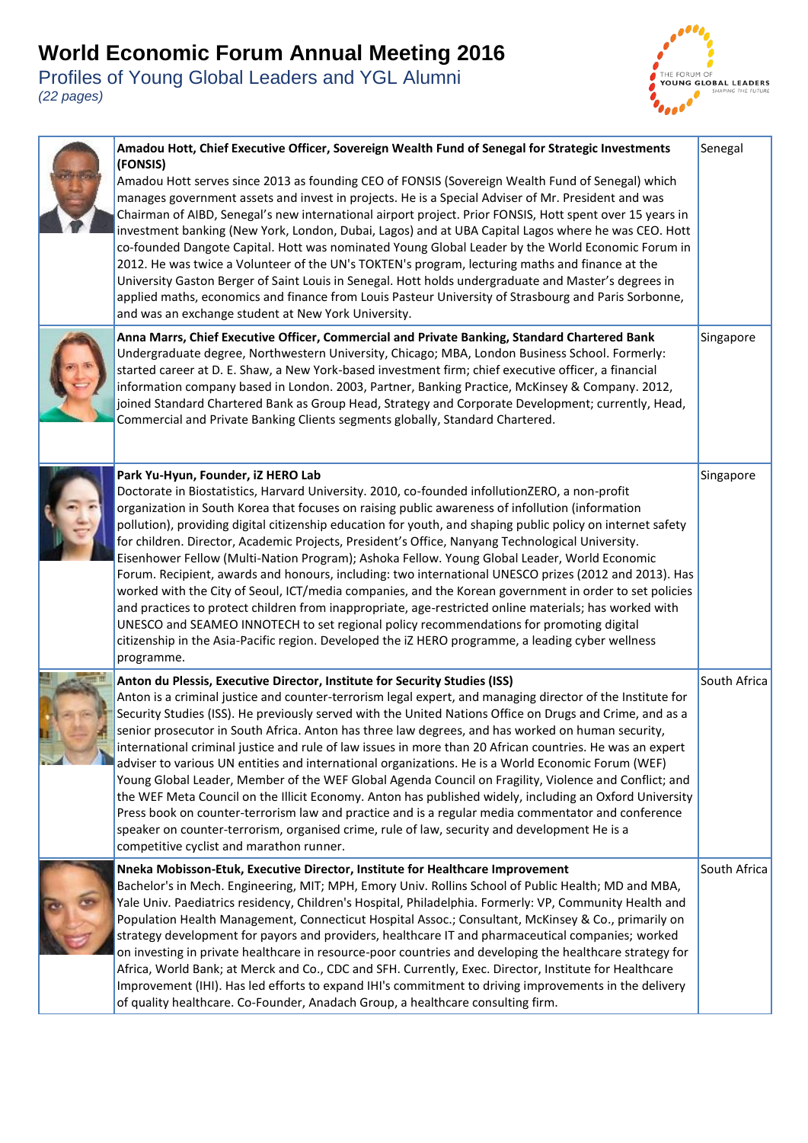



| Amadou Hott, Chief Executive Officer, Sovereign Wealth Fund of Senegal for Strategic Investments<br>(FONSIS)<br>Amadou Hott serves since 2013 as founding CEO of FONSIS (Sovereign Wealth Fund of Senegal) which<br>manages government assets and invest in projects. He is a Special Adviser of Mr. President and was<br>Chairman of AIBD, Senegal's new international airport project. Prior FONSIS, Hott spent over 15 years in<br>investment banking (New York, London, Dubai, Lagos) and at UBA Capital Lagos where he was CEO. Hott<br>co-founded Dangote Capital. Hott was nominated Young Global Leader by the World Economic Forum in<br>2012. He was twice a Volunteer of the UN's TOKTEN's program, lecturing maths and finance at the<br>University Gaston Berger of Saint Louis in Senegal. Hott holds undergraduate and Master's degrees in<br>applied maths, economics and finance from Louis Pasteur University of Strasbourg and Paris Sorbonne,<br>and was an exchange student at New York University.                                                                               | Senegal      |
|--------------------------------------------------------------------------------------------------------------------------------------------------------------------------------------------------------------------------------------------------------------------------------------------------------------------------------------------------------------------------------------------------------------------------------------------------------------------------------------------------------------------------------------------------------------------------------------------------------------------------------------------------------------------------------------------------------------------------------------------------------------------------------------------------------------------------------------------------------------------------------------------------------------------------------------------------------------------------------------------------------------------------------------------------------------------------------------------------------|--------------|
| Anna Marrs, Chief Executive Officer, Commercial and Private Banking, Standard Chartered Bank<br>Undergraduate degree, Northwestern University, Chicago; MBA, London Business School. Formerly:<br>started career at D. E. Shaw, a New York-based investment firm; chief executive officer, a financial<br>information company based in London. 2003, Partner, Banking Practice, McKinsey & Company. 2012,<br>joined Standard Chartered Bank as Group Head, Strategy and Corporate Development; currently, Head,<br>Commercial and Private Banking Clients segments globally, Standard Chartered.                                                                                                                                                                                                                                                                                                                                                                                                                                                                                                       | Singapore    |
| Park Yu-Hyun, Founder, iZ HERO Lab<br>Doctorate in Biostatistics, Harvard University. 2010, co-founded infollutionZERO, a non-profit<br>organization in South Korea that focuses on raising public awareness of infollution (information<br>pollution), providing digital citizenship education for youth, and shaping public policy on internet safety<br>for children. Director, Academic Projects, President's Office, Nanyang Technological University.<br>Eisenhower Fellow (Multi-Nation Program); Ashoka Fellow. Young Global Leader, World Economic<br>Forum. Recipient, awards and honours, including: two international UNESCO prizes (2012 and 2013). Has<br>worked with the City of Seoul, ICT/media companies, and the Korean government in order to set policies<br>and practices to protect children from inappropriate, age-restricted online materials; has worked with<br>UNESCO and SEAMEO INNOTECH to set regional policy recommendations for promoting digital<br>citizenship in the Asia-Pacific region. Developed the iZ HERO programme, a leading cyber wellness<br>programme. | Singapore    |
| Anton du Plessis, Executive Director, Institute for Security Studies (ISS)<br>Anton is a criminal justice and counter-terrorism legal expert, and managing director of the Institute for<br>Security Studies (ISS). He previously served with the United Nations Office on Drugs and Crime, and as a<br>senior prosecutor in South Africa. Anton has three law degrees, and has worked on human security,<br>international criminal justice and rule of law issues in more than 20 African countries. He was an expert<br>adviser to various UN entities and international organizations. He is a World Economic Forum (WEF)<br>Young Global Leader, Member of the WEF Global Agenda Council on Fragility, Violence and Conflict; and<br>the WEF Meta Council on the Illicit Economy. Anton has published widely, including an Oxford University<br>Press book on counter-terrorism law and practice and is a regular media commentator and conference<br>speaker on counter-terrorism, organised crime, rule of law, security and development He is a<br>competitive cyclist and marathon runner.     | South Africa |
| Nneka Mobisson-Etuk, Executive Director, Institute for Healthcare Improvement<br>Bachelor's in Mech. Engineering, MIT; MPH, Emory Univ. Rollins School of Public Health; MD and MBA,<br>Yale Univ. Paediatrics residency, Children's Hospital, Philadelphia. Formerly: VP, Community Health and<br>Population Health Management, Connecticut Hospital Assoc.; Consultant, McKinsey & Co., primarily on<br>strategy development for payors and providers, healthcare IT and pharmaceutical companies; worked<br>on investing in private healthcare in resource-poor countries and developing the healthcare strategy for<br>Africa, World Bank; at Merck and Co., CDC and SFH. Currently, Exec. Director, Institute for Healthcare<br>Improvement (IHI). Has led efforts to expand IHI's commitment to driving improvements in the delivery<br>of quality healthcare. Co-Founder, Anadach Group, a healthcare consulting firm.                                                                                                                                                                          | South Africa |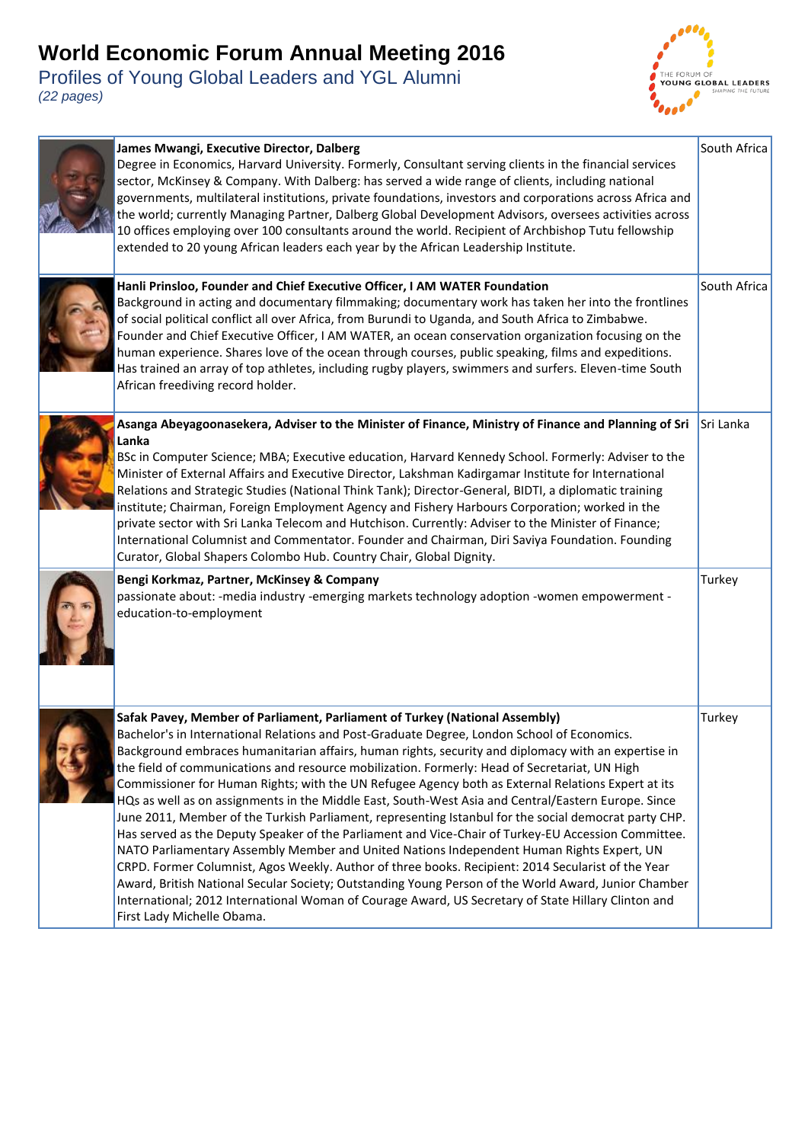

| James Mwangi, Executive Director, Dalberg<br>Degree in Economics, Harvard University. Formerly, Consultant serving clients in the financial services<br>sector, McKinsey & Company. With Dalberg: has served a wide range of clients, including national<br>governments, multilateral institutions, private foundations, investors and corporations across Africa and<br>the world; currently Managing Partner, Dalberg Global Development Advisors, oversees activities across<br>10 offices employing over 100 consultants around the world. Recipient of Archbishop Tutu fellowship<br>extended to 20 young African leaders each year by the African Leadership Institute.                                                                                                                                                                                                                                                                                                                                                                                                                                                                                                                                                                                   | South Africa |
|-----------------------------------------------------------------------------------------------------------------------------------------------------------------------------------------------------------------------------------------------------------------------------------------------------------------------------------------------------------------------------------------------------------------------------------------------------------------------------------------------------------------------------------------------------------------------------------------------------------------------------------------------------------------------------------------------------------------------------------------------------------------------------------------------------------------------------------------------------------------------------------------------------------------------------------------------------------------------------------------------------------------------------------------------------------------------------------------------------------------------------------------------------------------------------------------------------------------------------------------------------------------|--------------|
| Hanli Prinsloo, Founder and Chief Executive Officer, I AM WATER Foundation<br>Background in acting and documentary filmmaking; documentary work has taken her into the frontlines<br>of social political conflict all over Africa, from Burundi to Uganda, and South Africa to Zimbabwe.<br>Founder and Chief Executive Officer, I AM WATER, an ocean conservation organization focusing on the<br>human experience. Shares love of the ocean through courses, public speaking, films and expeditions.<br>Has trained an array of top athletes, including rugby players, swimmers and surfers. Eleven-time South<br>African freediving record holder.                                                                                                                                                                                                                                                                                                                                                                                                                                                                                                                                                                                                           | South Africa |
| Asanga Abeyagoonasekera, Adviser to the Minister of Finance, Ministry of Finance and Planning of Sri<br>Lanka<br>BSc in Computer Science; MBA; Executive education, Harvard Kennedy School. Formerly: Adviser to the<br>Minister of External Affairs and Executive Director, Lakshman Kadirgamar Institute for International<br>Relations and Strategic Studies (National Think Tank); Director-General, BIDTI, a diplomatic training<br>institute; Chairman, Foreign Employment Agency and Fishery Harbours Corporation; worked in the<br>private sector with Sri Lanka Telecom and Hutchison. Currently: Adviser to the Minister of Finance;<br>International Columnist and Commentator. Founder and Chairman, Diri Saviya Foundation. Founding<br>Curator, Global Shapers Colombo Hub. Country Chair, Global Dignity.                                                                                                                                                                                                                                                                                                                                                                                                                                        | Sri Lanka    |
| Bengi Korkmaz, Partner, McKinsey & Company<br>passionate about: -media industry -emerging markets technology adoption -women empowerment -<br>education-to-employment                                                                                                                                                                                                                                                                                                                                                                                                                                                                                                                                                                                                                                                                                                                                                                                                                                                                                                                                                                                                                                                                                           | Turkey       |
| Safak Pavey, Member of Parliament, Parliament of Turkey (National Assembly)<br>Bachelor's in International Relations and Post-Graduate Degree, London School of Economics.<br>Background embraces humanitarian affairs, human rights, security and diplomacy with an expertise in<br>the field of communications and resource mobilization. Formerly: Head of Secretariat, UN High<br>Commissioner for Human Rights; with the UN Refugee Agency both as External Relations Expert at its<br>HQs as well as on assignments in the Middle East, South-West Asia and Central/Eastern Europe. Since<br>June 2011, Member of the Turkish Parliament, representing Istanbul for the social democrat party CHP.<br>Has served as the Deputy Speaker of the Parliament and Vice-Chair of Turkey-EU Accession Committee.<br>NATO Parliamentary Assembly Member and United Nations Independent Human Rights Expert, UN<br>CRPD. Former Columnist, Agos Weekly. Author of three books. Recipient: 2014 Secularist of the Year<br>Award, British National Secular Society; Outstanding Young Person of the World Award, Junior Chamber<br>International; 2012 International Woman of Courage Award, US Secretary of State Hillary Clinton and<br>First Lady Michelle Obama. | Turkey       |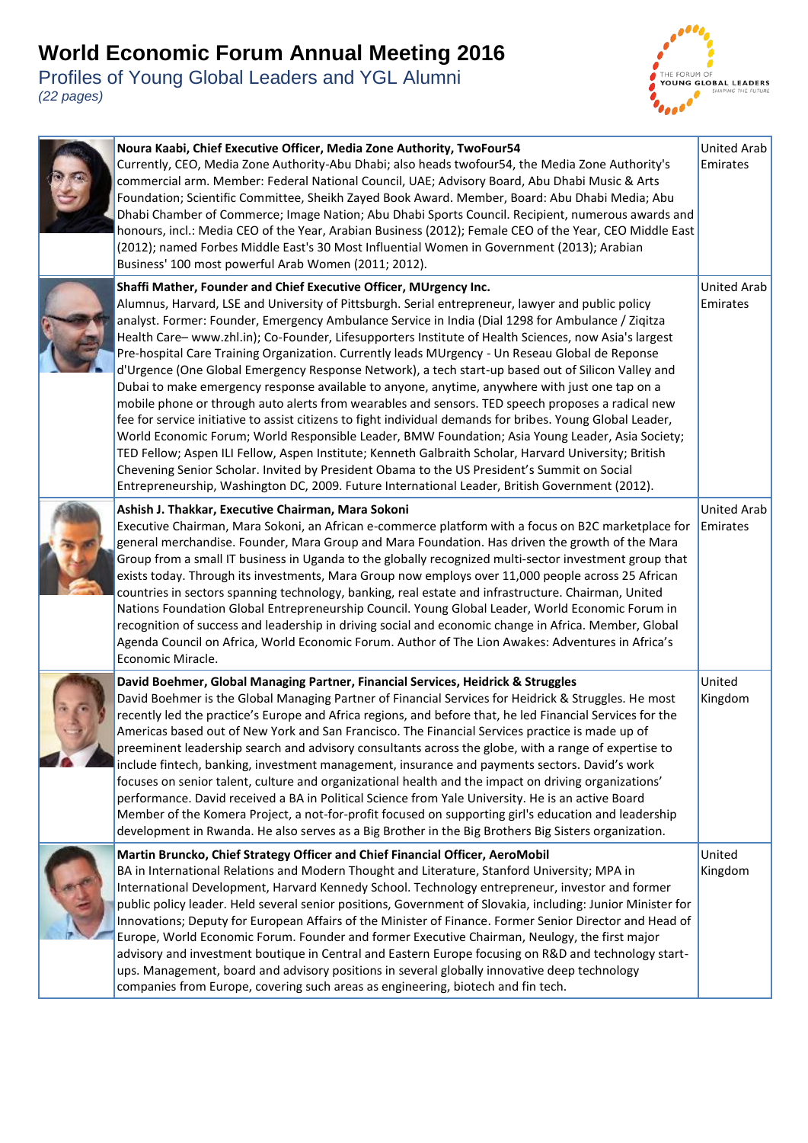

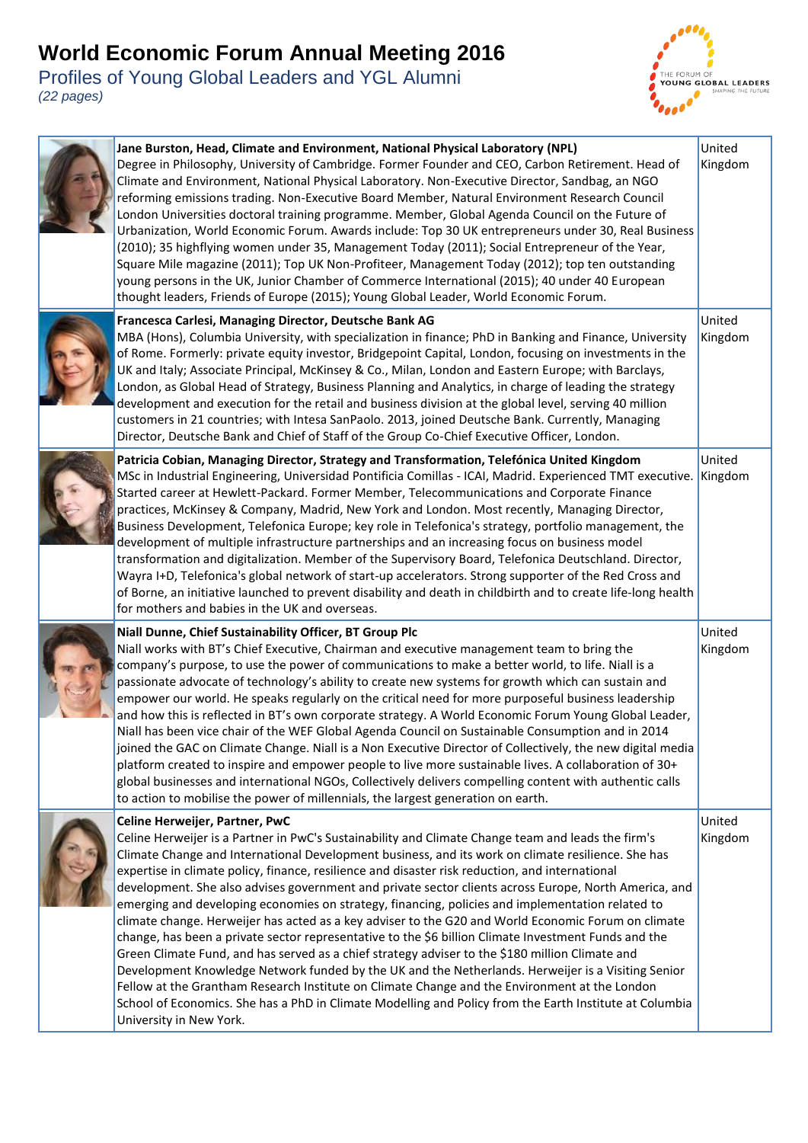



| Jane Burston, Head, Climate and Environment, National Physical Laboratory (NPL)<br>Degree in Philosophy, University of Cambridge. Former Founder and CEO, Carbon Retirement. Head of<br>Climate and Environment, National Physical Laboratory. Non-Executive Director, Sandbag, an NGO<br>reforming emissions trading. Non-Executive Board Member, Natural Environment Research Council<br>London Universities doctoral training programme. Member, Global Agenda Council on the Future of<br>Urbanization, World Economic Forum. Awards include: Top 30 UK entrepreneurs under 30, Real Business<br>(2010); 35 highflying women under 35, Management Today (2011); Social Entrepreneur of the Year,<br>Square Mile magazine (2011); Top UK Non-Profiteer, Management Today (2012); top ten outstanding<br>young persons in the UK, Junior Chamber of Commerce International (2015); 40 under 40 European<br>thought leaders, Friends of Europe (2015); Young Global Leader, World Economic Forum.                                                                                                                                                                                                                        | United<br>Kingdom |
|---------------------------------------------------------------------------------------------------------------------------------------------------------------------------------------------------------------------------------------------------------------------------------------------------------------------------------------------------------------------------------------------------------------------------------------------------------------------------------------------------------------------------------------------------------------------------------------------------------------------------------------------------------------------------------------------------------------------------------------------------------------------------------------------------------------------------------------------------------------------------------------------------------------------------------------------------------------------------------------------------------------------------------------------------------------------------------------------------------------------------------------------------------------------------------------------------------------------------|-------------------|
| Francesca Carlesi, Managing Director, Deutsche Bank AG<br>MBA (Hons), Columbia University, with specialization in finance; PhD in Banking and Finance, University<br>of Rome. Formerly: private equity investor, Bridgepoint Capital, London, focusing on investments in the<br>UK and Italy; Associate Principal, McKinsey & Co., Milan, London and Eastern Europe; with Barclays,<br>London, as Global Head of Strategy, Business Planning and Analytics, in charge of leading the strategy<br>development and execution for the retail and business division at the global level, serving 40 million<br>customers in 21 countries; with Intesa SanPaolo. 2013, joined Deutsche Bank. Currently, Managing<br>Director, Deutsche Bank and Chief of Staff of the Group Co-Chief Executive Officer, London.                                                                                                                                                                                                                                                                                                                                                                                                                | United<br>Kingdom |
| Patricia Cobian, Managing Director, Strategy and Transformation, Telefónica United Kingdom<br>MSc in Industrial Engineering, Universidad Pontificia Comillas - ICAI, Madrid. Experienced TMT executive.<br>Started career at Hewlett-Packard. Former Member, Telecommunications and Corporate Finance<br>practices, McKinsey & Company, Madrid, New York and London. Most recently, Managing Director,<br>Business Development, Telefonica Europe; key role in Telefonica's strategy, portfolio management, the<br>development of multiple infrastructure partnerships and an increasing focus on business model<br>transformation and digitalization. Member of the Supervisory Board, Telefonica Deutschland. Director,<br>Wayra I+D, Telefonica's global network of start-up accelerators. Strong supporter of the Red Cross and<br>of Borne, an initiative launched to prevent disability and death in childbirth and to create life-long health<br>for mothers and babies in the UK and overseas.                                                                                                                                                                                                                    | United<br>Kingdom |
| Niall Dunne, Chief Sustainability Officer, BT Group Plc<br>Niall works with BT's Chief Executive, Chairman and executive management team to bring the<br>company's purpose, to use the power of communications to make a better world, to life. Niall is a<br>passionate advocate of technology's ability to create new systems for growth which can sustain and<br>empower our world. He speaks regularly on the critical need for more purposeful business leadership<br>and how this is reflected in BT's own corporate strategy. A World Economic Forum Young Global Leader,<br>Niall has been vice chair of the WEF Global Agenda Council on Sustainable Consumption and in 2014<br>joined the GAC on Climate Change. Niall is a Non Executive Director of Collectively, the new digital media<br>platform created to inspire and empower people to live more sustainable lives. A collaboration of 30+<br>global businesses and international NGOs, Collectively delivers compelling content with authentic calls<br>to action to mobilise the power of millennials, the largest generation on earth.                                                                                                               | United<br>Kingdom |
| Celine Herweijer, Partner, PwC<br>Celine Herweijer is a Partner in PwC's Sustainability and Climate Change team and leads the firm's<br>Climate Change and International Development business, and its work on climate resilience. She has<br>expertise in climate policy, finance, resilience and disaster risk reduction, and international<br>development. She also advises government and private sector clients across Europe, North America, and<br>emerging and developing economies on strategy, financing, policies and implementation related to<br>climate change. Herweijer has acted as a key adviser to the G20 and World Economic Forum on climate<br>change, has been a private sector representative to the \$6 billion Climate Investment Funds and the<br>Green Climate Fund, and has served as a chief strategy adviser to the \$180 million Climate and<br>Development Knowledge Network funded by the UK and the Netherlands. Herweijer is a Visiting Senior<br>Fellow at the Grantham Research Institute on Climate Change and the Environment at the London<br>School of Economics. She has a PhD in Climate Modelling and Policy from the Earth Institute at Columbia<br>University in New York. | United<br>Kingdom |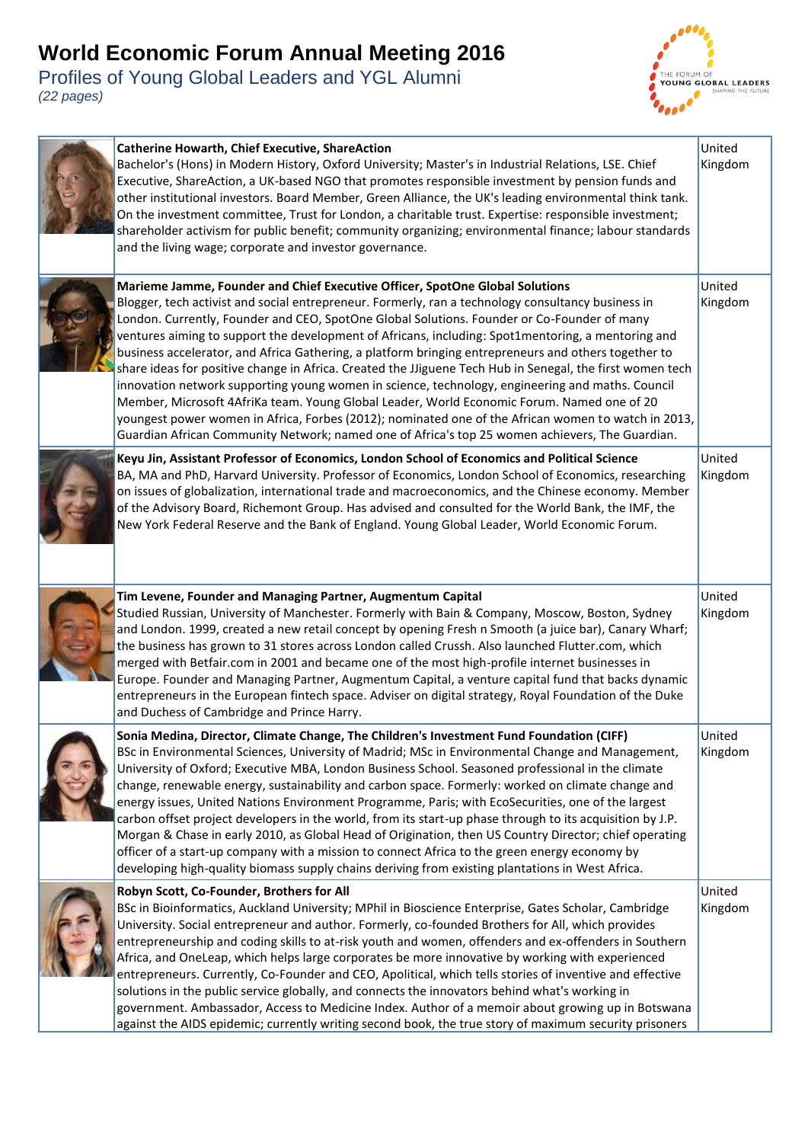

| <b>Catherine Howarth, Chief Executive, ShareAction</b><br>Bachelor's (Hons) in Modern History, Oxford University; Master's in Industrial Relations, LSE. Chief<br>Executive, ShareAction, a UK-based NGO that promotes responsible investment by pension funds and<br>other institutional investors. Board Member, Green Alliance, the UK's leading environmental think tank.<br>On the investment committee, Trust for London, a charitable trust. Expertise: responsible investment;<br>shareholder activism for public benefit; community organizing; environmental finance; labour standards<br>and the living wage; corporate and investor governance.                                                                                                                                                                                                                                                                                                                                                              | United<br>Kingdom |
|--------------------------------------------------------------------------------------------------------------------------------------------------------------------------------------------------------------------------------------------------------------------------------------------------------------------------------------------------------------------------------------------------------------------------------------------------------------------------------------------------------------------------------------------------------------------------------------------------------------------------------------------------------------------------------------------------------------------------------------------------------------------------------------------------------------------------------------------------------------------------------------------------------------------------------------------------------------------------------------------------------------------------|-------------------|
| Marieme Jamme, Founder and Chief Executive Officer, SpotOne Global Solutions<br>Blogger, tech activist and social entrepreneur. Formerly, ran a technology consultancy business in<br>London. Currently, Founder and CEO, SpotOne Global Solutions. Founder or Co-Founder of many<br>ventures aiming to support the development of Africans, including: Spot1mentoring, a mentoring and<br>business accelerator, and Africa Gathering, a platform bringing entrepreneurs and others together to<br>share ideas for positive change in Africa. Created the JJiguene Tech Hub in Senegal, the first women tech<br>innovation network supporting young women in science, technology, engineering and maths. Council<br>Member, Microsoft 4AfriKa team. Young Global Leader, World Economic Forum. Named one of 20<br>youngest power women in Africa, Forbes (2012); nominated one of the African women to watch in 2013,<br>Guardian African Community Network; named one of Africa's top 25 women achievers, The Guardian. | United<br>Kingdom |
| Keyu Jin, Assistant Professor of Economics, London School of Economics and Political Science<br>BA, MA and PhD, Harvard University. Professor of Economics, London School of Economics, researching<br>on issues of globalization, international trade and macroeconomics, and the Chinese economy. Member<br>of the Advisory Board, Richemont Group. Has advised and consulted for the World Bank, the IMF, the<br>New York Federal Reserve and the Bank of England. Young Global Leader, World Economic Forum.                                                                                                                                                                                                                                                                                                                                                                                                                                                                                                         | United<br>Kingdom |
| Tim Levene, Founder and Managing Partner, Augmentum Capital<br>Studied Russian, University of Manchester. Formerly with Bain & Company, Moscow, Boston, Sydney<br>and London. 1999, created a new retail concept by opening Fresh n Smooth (a juice bar), Canary Wharf;<br>the business has grown to 31 stores across London called Crussh. Also launched Flutter.com, which<br>merged with Betfair.com in 2001 and became one of the most high-profile internet businesses in<br>Europe. Founder and Managing Partner, Augmentum Capital, a venture capital fund that backs dynamic<br>entrepreneurs in the European fintech space. Adviser on digital strategy, Royal Foundation of the Duke<br>and Duchess of Cambridge and Prince Harry.                                                                                                                                                                                                                                                                             | United<br>Kingdom |
| Sonia Medina, Director, Climate Change, The Children's Investment Fund Foundation (CIFF)<br>BSc in Environmental Sciences, University of Madrid; MSc in Environmental Change and Management,<br>University of Oxford; Executive MBA, London Business School. Seasoned professional in the climate<br>change, renewable energy, sustainability and carbon space. Formerly: worked on climate change and<br>energy issues, United Nations Environment Programme, Paris; with EcoSecurities, one of the largest<br>carbon offset project developers in the world, from its start-up phase through to its acquisition by J.P.<br>Morgan & Chase in early 2010, as Global Head of Origination, then US Country Director; chief operating<br>officer of a start-up company with a mission to connect Africa to the green energy economy by<br>developing high-quality biomass supply chains deriving from existing plantations in West Africa.                                                                                 | United<br>Kingdom |
| Robyn Scott, Co-Founder, Brothers for All<br>BSc in Bioinformatics, Auckland University; MPhil in Bioscience Enterprise, Gates Scholar, Cambridge<br>University. Social entrepreneur and author. Formerly, co-founded Brothers for All, which provides<br>entrepreneurship and coding skills to at-risk youth and women, offenders and ex-offenders in Southern<br>Africa, and OneLeap, which helps large corporates be more innovative by working with experienced<br>entrepreneurs. Currently, Co-Founder and CEO, Apolitical, which tells stories of inventive and effective<br>solutions in the public service globally, and connects the innovators behind what's working in<br>government. Ambassador, Access to Medicine Index. Author of a memoir about growing up in Botswana<br>against the AIDS epidemic; currently writing second book, the true story of maximum security prisoners                                                                                                                         | United<br>Kingdom |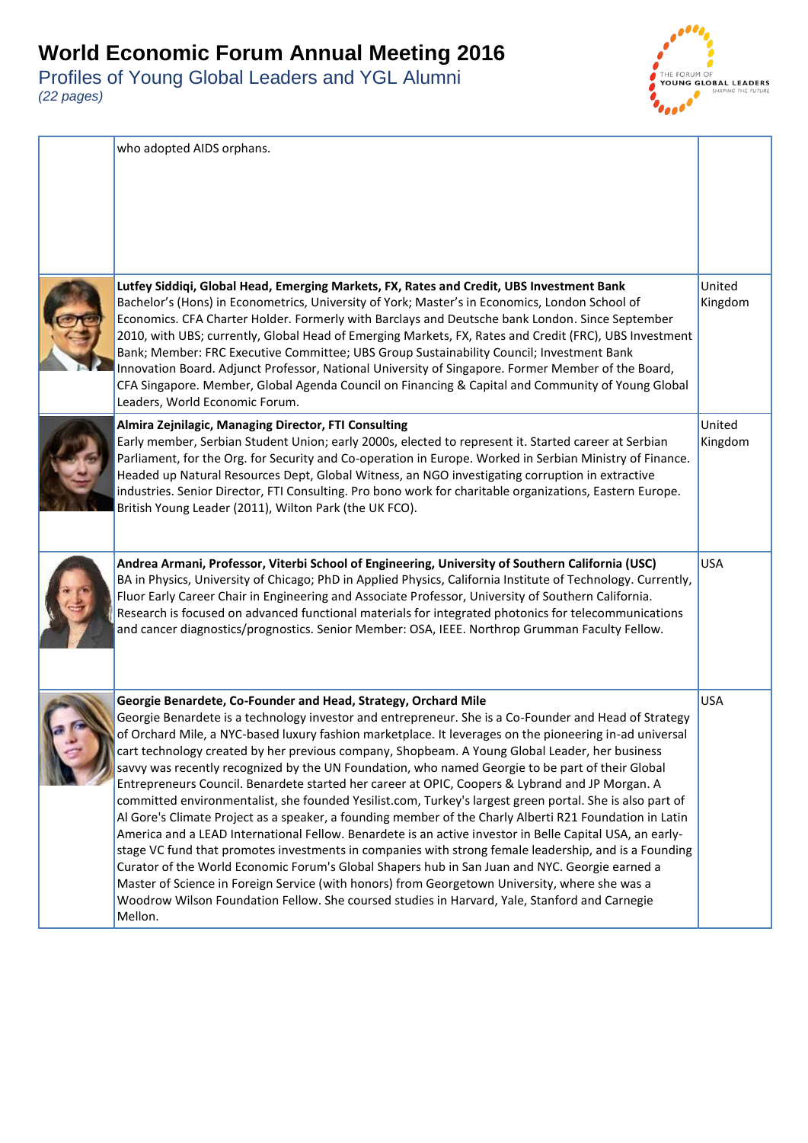

| who adopted AIDS orphans.                                                                                                                                                                                                                                                                                                                                                                                                                                                                                                                                                                                                                                                                                                                                                                                                                                                                                                                                                                                                                                                                                                                                                                                                                                                                                                                               |                   |
|---------------------------------------------------------------------------------------------------------------------------------------------------------------------------------------------------------------------------------------------------------------------------------------------------------------------------------------------------------------------------------------------------------------------------------------------------------------------------------------------------------------------------------------------------------------------------------------------------------------------------------------------------------------------------------------------------------------------------------------------------------------------------------------------------------------------------------------------------------------------------------------------------------------------------------------------------------------------------------------------------------------------------------------------------------------------------------------------------------------------------------------------------------------------------------------------------------------------------------------------------------------------------------------------------------------------------------------------------------|-------------------|
| Lutfey Siddiqi, Global Head, Emerging Markets, FX, Rates and Credit, UBS Investment Bank<br>Bachelor's (Hons) in Econometrics, University of York; Master's in Economics, London School of<br>Economics. CFA Charter Holder. Formerly with Barclays and Deutsche bank London. Since September<br>2010, with UBS; currently, Global Head of Emerging Markets, FX, Rates and Credit (FRC), UBS Investment<br>Bank; Member: FRC Executive Committee; UBS Group Sustainability Council; Investment Bank<br>Innovation Board. Adjunct Professor, National University of Singapore. Former Member of the Board,<br>CFA Singapore. Member, Global Agenda Council on Financing & Capital and Community of Young Global<br>Leaders, World Economic Forum.                                                                                                                                                                                                                                                                                                                                                                                                                                                                                                                                                                                                        | United<br>Kingdom |
| Almira Zejnilagic, Managing Director, FTI Consulting<br>Early member, Serbian Student Union; early 2000s, elected to represent it. Started career at Serbian<br>Parliament, for the Org. for Security and Co-operation in Europe. Worked in Serbian Ministry of Finance.<br>Headed up Natural Resources Dept, Global Witness, an NGO investigating corruption in extractive<br>industries. Senior Director, FTI Consulting. Pro bono work for charitable organizations, Eastern Europe.<br>British Young Leader (2011), Wilton Park (the UK FCO).                                                                                                                                                                                                                                                                                                                                                                                                                                                                                                                                                                                                                                                                                                                                                                                                       | United<br>Kingdom |
| Andrea Armani, Professor, Viterbi School of Engineering, University of Southern California (USC)<br>BA in Physics, University of Chicago; PhD in Applied Physics, California Institute of Technology. Currently,<br>Fluor Early Career Chair in Engineering and Associate Professor, University of Southern California.<br>Research is focused on advanced functional materials for integrated photonics for telecommunications<br>and cancer diagnostics/prognostics. Senior Member: OSA, IEEE. Northrop Grumman Faculty Fellow.                                                                                                                                                                                                                                                                                                                                                                                                                                                                                                                                                                                                                                                                                                                                                                                                                       | <b>USA</b>        |
| Georgie Benardete, Co-Founder and Head, Strategy, Orchard Mile<br>Georgie Benardete is a technology investor and entrepreneur. She is a Co-Founder and Head of Strategy<br>of Orchard Mile, a NYC-based luxury fashion marketplace. It leverages on the pioneering in-ad universal<br>cart technology created by her previous company, Shopbeam. A Young Global Leader, her business<br>savvy was recently recognized by the UN Foundation, who named Georgie to be part of their Global<br>Entrepreneurs Council. Benardete started her career at OPIC, Coopers & Lybrand and JP Morgan. A<br>committed environmentalist, she founded Yesilist.com, Turkey's largest green portal. She is also part of<br>Al Gore's Climate Project as a speaker, a founding member of the Charly Alberti R21 Foundation in Latin<br>America and a LEAD International Fellow. Benardete is an active investor in Belle Capital USA, an early-<br>stage VC fund that promotes investments in companies with strong female leadership, and is a Founding<br>Curator of the World Economic Forum's Global Shapers hub in San Juan and NYC. Georgie earned a<br>Master of Science in Foreign Service (with honors) from Georgetown University, where she was a<br>Woodrow Wilson Foundation Fellow. She coursed studies in Harvard, Yale, Stanford and Carnegie<br>Mellon. | <b>USA</b>        |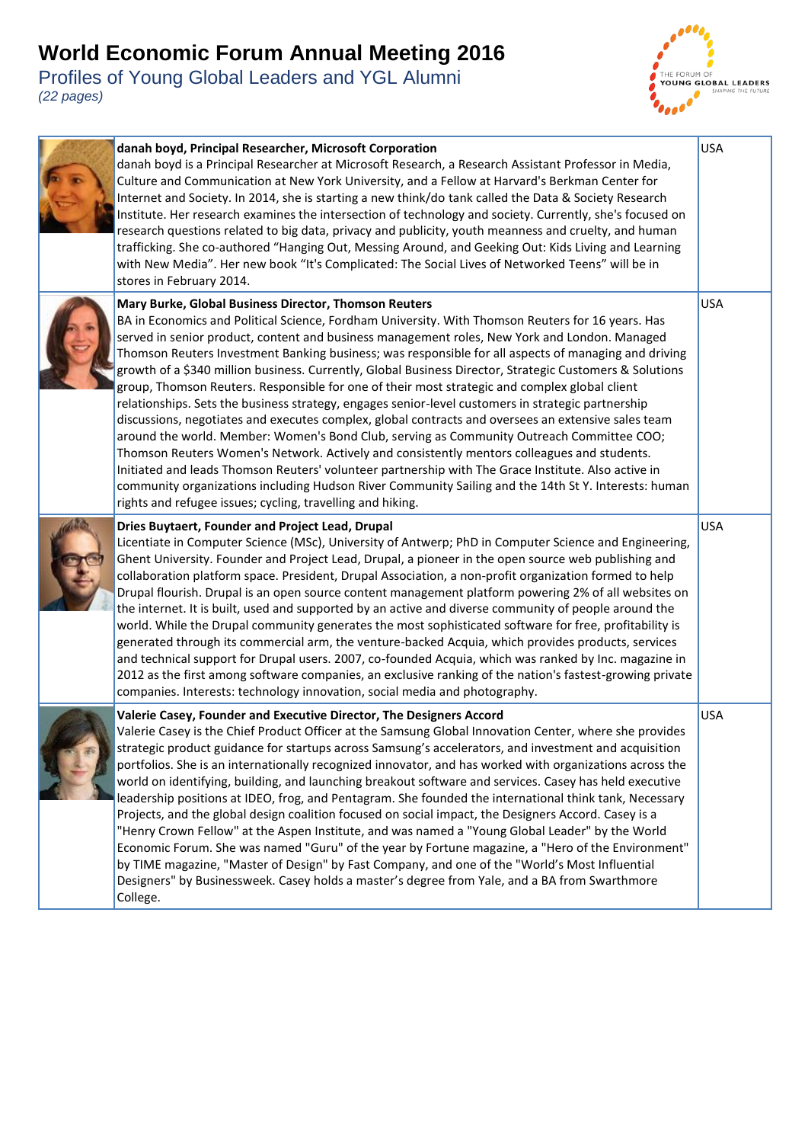

| danah boyd, Principal Researcher, Microsoft Corporation<br>danah boyd is a Principal Researcher at Microsoft Research, a Research Assistant Professor in Media,<br>Culture and Communication at New York University, and a Fellow at Harvard's Berkman Center for<br>Internet and Society. In 2014, she is starting a new think/do tank called the Data & Society Research<br>Institute. Her research examines the intersection of technology and society. Currently, she's focused on<br>research questions related to big data, privacy and publicity, youth meanness and cruelty, and human<br>trafficking. She co-authored "Hanging Out, Messing Around, and Geeking Out: Kids Living and Learning<br>with New Media". Her new book "It's Complicated: The Social Lives of Networked Teens" will be in<br>stores in February 2014.                                                                                                                                                                                                                                                                                                                                                                                                                                 | <b>USA</b> |
|------------------------------------------------------------------------------------------------------------------------------------------------------------------------------------------------------------------------------------------------------------------------------------------------------------------------------------------------------------------------------------------------------------------------------------------------------------------------------------------------------------------------------------------------------------------------------------------------------------------------------------------------------------------------------------------------------------------------------------------------------------------------------------------------------------------------------------------------------------------------------------------------------------------------------------------------------------------------------------------------------------------------------------------------------------------------------------------------------------------------------------------------------------------------------------------------------------------------------------------------------------------------|------------|
| Mary Burke, Global Business Director, Thomson Reuters<br>BA in Economics and Political Science, Fordham University. With Thomson Reuters for 16 years. Has<br>served in senior product, content and business management roles, New York and London. Managed<br>Thomson Reuters Investment Banking business; was responsible for all aspects of managing and driving<br>growth of a \$340 million business. Currently, Global Business Director, Strategic Customers & Solutions<br>group, Thomson Reuters. Responsible for one of their most strategic and complex global client<br>relationships. Sets the business strategy, engages senior-level customers in strategic partnership<br>discussions, negotiates and executes complex, global contracts and oversees an extensive sales team<br>around the world. Member: Women's Bond Club, serving as Community Outreach Committee COO;<br>Thomson Reuters Women's Network. Actively and consistently mentors colleagues and students.<br>Initiated and leads Thomson Reuters' volunteer partnership with The Grace Institute. Also active in<br>community organizations including Hudson River Community Sailing and the 14th St Y. Interests: human<br>rights and refugee issues; cycling, travelling and hiking. | <b>USA</b> |
| Dries Buytaert, Founder and Project Lead, Drupal<br>Licentiate in Computer Science (MSc), University of Antwerp; PhD in Computer Science and Engineering,<br>Ghent University. Founder and Project Lead, Drupal, a pioneer in the open source web publishing and<br>collaboration platform space. President, Drupal Association, a non-profit organization formed to help<br>Drupal flourish. Drupal is an open source content management platform powering 2% of all websites on<br>the internet. It is built, used and supported by an active and diverse community of people around the<br>world. While the Drupal community generates the most sophisticated software for free, profitability is<br>generated through its commercial arm, the venture-backed Acquia, which provides products, services<br>and technical support for Drupal users. 2007, co-founded Acquia, which was ranked by Inc. magazine in<br>2012 as the first among software companies, an exclusive ranking of the nation's fastest-growing private<br>companies. Interests: technology innovation, social media and photography.                                                                                                                                                          | <b>USA</b> |
| Valerie Casey, Founder and Executive Director, The Designers Accord<br>Valerie Casey is the Chief Product Officer at the Samsung Global Innovation Center, where she provides<br>strategic product guidance for startups across Samsung's accelerators, and investment and acquisition<br>portfolios. She is an internationally recognized innovator, and has worked with organizations across the<br>world on identifying, building, and launching breakout software and services. Casey has held executive<br>leadership positions at IDEO, frog, and Pentagram. She founded the international think tank, Necessary<br>Projects, and the global design coalition focused on social impact, the Designers Accord. Casey is a<br>"Henry Crown Fellow" at the Aspen Institute, and was named a "Young Global Leader" by the World<br>Economic Forum. She was named "Guru" of the year by Fortune magazine, a "Hero of the Environment"<br>by TIME magazine, "Master of Design" by Fast Company, and one of the "World's Most Influential<br>Designers" by Businessweek. Casey holds a master's degree from Yale, and a BA from Swarthmore<br>College.                                                                                                                  | <b>USA</b> |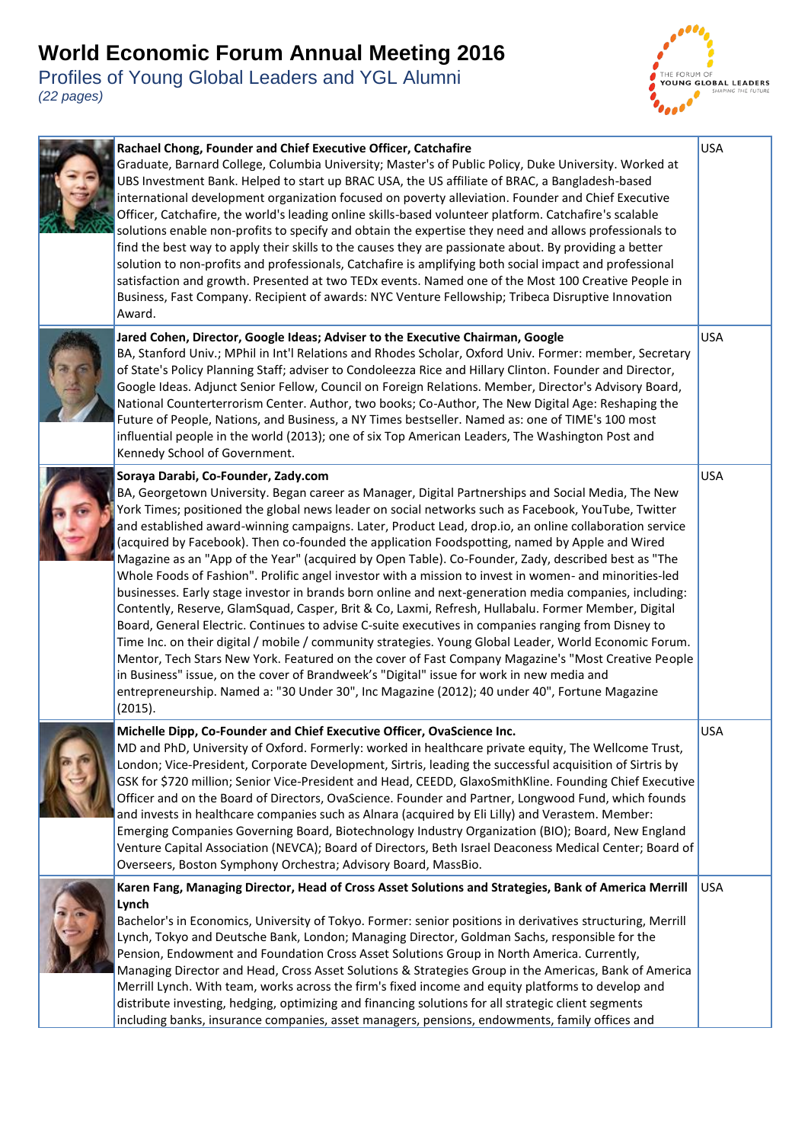

| Rachael Chong, Founder and Chief Executive Officer, Catchafire<br>Graduate, Barnard College, Columbia University; Master's of Public Policy, Duke University. Worked at<br>UBS Investment Bank. Helped to start up BRAC USA, the US affiliate of BRAC, a Bangladesh-based<br>international development organization focused on poverty alleviation. Founder and Chief Executive<br>Officer, Catchafire, the world's leading online skills-based volunteer platform. Catchafire's scalable<br>solutions enable non-profits to specify and obtain the expertise they need and allows professionals to<br>find the best way to apply their skills to the causes they are passionate about. By providing a better<br>solution to non-profits and professionals, Catchafire is amplifying both social impact and professional<br>satisfaction and growth. Presented at two TEDx events. Named one of the Most 100 Creative People in<br>Business, Fast Company. Recipient of awards: NYC Venture Fellowship; Tribeca Disruptive Innovation<br>Award.                                                                                                                                                                                                                                                                                                                                                                                 | <b>USA</b> |
|---------------------------------------------------------------------------------------------------------------------------------------------------------------------------------------------------------------------------------------------------------------------------------------------------------------------------------------------------------------------------------------------------------------------------------------------------------------------------------------------------------------------------------------------------------------------------------------------------------------------------------------------------------------------------------------------------------------------------------------------------------------------------------------------------------------------------------------------------------------------------------------------------------------------------------------------------------------------------------------------------------------------------------------------------------------------------------------------------------------------------------------------------------------------------------------------------------------------------------------------------------------------------------------------------------------------------------------------------------------------------------------------------------------------------------|------------|
| Jared Cohen, Director, Google Ideas; Adviser to the Executive Chairman, Google<br>BA, Stanford Univ.; MPhil in Int'l Relations and Rhodes Scholar, Oxford Univ. Former: member, Secretary<br>of State's Policy Planning Staff; adviser to Condoleezza Rice and Hillary Clinton. Founder and Director,<br>Google Ideas. Adjunct Senior Fellow, Council on Foreign Relations. Member, Director's Advisory Board,<br>National Counterterrorism Center. Author, two books; Co-Author, The New Digital Age: Reshaping the<br>Future of People, Nations, and Business, a NY Times bestseller. Named as: one of TIME's 100 most<br>influential people in the world (2013); one of six Top American Leaders, The Washington Post and<br>Kennedy School of Government.                                                                                                                                                                                                                                                                                                                                                                                                                                                                                                                                                                                                                                                                   | <b>USA</b> |
| Soraya Darabi, Co-Founder, Zady.com<br>BA, Georgetown University. Began career as Manager, Digital Partnerships and Social Media, The New<br>York Times; positioned the global news leader on social networks such as Facebook, YouTube, Twitter<br>and established award-winning campaigns. Later, Product Lead, drop.io, an online collaboration service<br>(acquired by Facebook). Then co-founded the application Foodspotting, named by Apple and Wired<br>Magazine as an "App of the Year" (acquired by Open Table). Co-Founder, Zady, described best as "The<br>Whole Foods of Fashion". Prolific angel investor with a mission to invest in women- and minorities-led<br>businesses. Early stage investor in brands born online and next-generation media companies, including:<br>Contently, Reserve, GlamSquad, Casper, Brit & Co, Laxmi, Refresh, Hullabalu. Former Member, Digital<br>Board, General Electric. Continues to advise C-suite executives in companies ranging from Disney to<br>Time Inc. on their digital / mobile / community strategies. Young Global Leader, World Economic Forum.<br>Mentor, Tech Stars New York. Featured on the cover of Fast Company Magazine's "Most Creative People<br>in Business" issue, on the cover of Brandweek's "Digital" issue for work in new media and<br>entrepreneurship. Named a: "30 Under 30", Inc Magazine (2012); 40 under 40", Fortune Magazine<br>(2015). | <b>USA</b> |
| Michelle Dipp, Co-Founder and Chief Executive Officer, OvaScience Inc.<br>MD and PhD, University of Oxford. Formerly: worked in healthcare private equity, The Wellcome Trust,<br>London; Vice-President, Corporate Development, Sirtris, leading the successful acquisition of Sirtris by<br>GSK for \$720 million; Senior Vice-President and Head, CEEDD, GlaxoSmithKline. Founding Chief Executive<br>Officer and on the Board of Directors, OvaScience. Founder and Partner, Longwood Fund, which founds<br>and invests in healthcare companies such as Alnara (acquired by Eli Lilly) and Verastem. Member:<br>Emerging Companies Governing Board, Biotechnology Industry Organization (BIO); Board, New England<br>Venture Capital Association (NEVCA); Board of Directors, Beth Israel Deaconess Medical Center; Board of<br>Overseers, Boston Symphony Orchestra; Advisory Board, MassBio.                                                                                                                                                                                                                                                                                                                                                                                                                                                                                                                              | <b>USA</b> |
| Karen Fang, Managing Director, Head of Cross Asset Solutions and Strategies, Bank of America Merrill<br>Lynch<br>Bachelor's in Economics, University of Tokyo. Former: senior positions in derivatives structuring, Merrill<br>Lynch, Tokyo and Deutsche Bank, London; Managing Director, Goldman Sachs, responsible for the<br>Pension, Endowment and Foundation Cross Asset Solutions Group in North America. Currently,<br>Managing Director and Head, Cross Asset Solutions & Strategies Group in the Americas, Bank of America<br>Merrill Lynch. With team, works across the firm's fixed income and equity platforms to develop and<br>distribute investing, hedging, optimizing and financing solutions for all strategic client segments<br>including banks, insurance companies, asset managers, pensions, endowments, family offices and                                                                                                                                                                                                                                                                                                                                                                                                                                                                                                                                                                              | <b>USA</b> |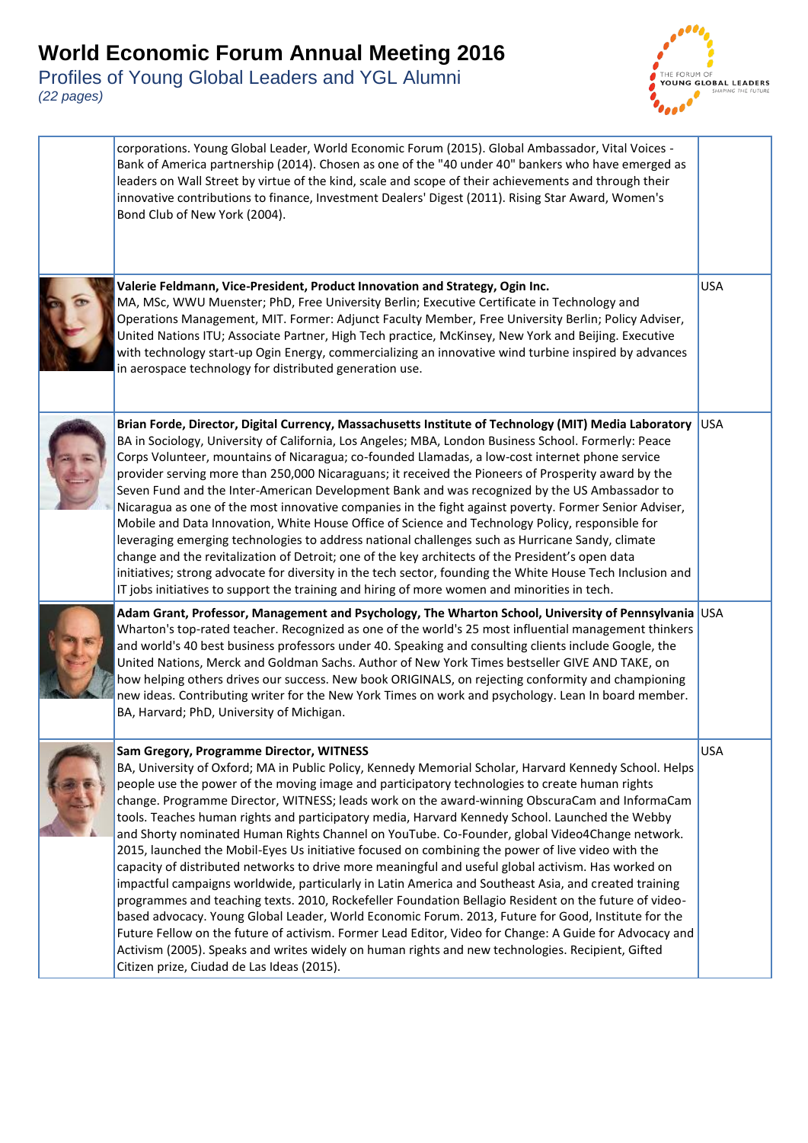

| corporations. Young Global Leader, World Economic Forum (2015). Global Ambassador, Vital Voices -<br>Bank of America partnership (2014). Chosen as one of the "40 under 40" bankers who have emerged as<br>leaders on Wall Street by virtue of the kind, scale and scope of their achievements and through their<br>innovative contributions to finance, Investment Dealers' Digest (2011). Rising Star Award, Women's<br>Bond Club of New York (2004).                                                                                                                                                                                                                                                                                                                                                                                                                                                                                                                                                                                                                                                                                                                                                                                                                                                                                                        |            |
|----------------------------------------------------------------------------------------------------------------------------------------------------------------------------------------------------------------------------------------------------------------------------------------------------------------------------------------------------------------------------------------------------------------------------------------------------------------------------------------------------------------------------------------------------------------------------------------------------------------------------------------------------------------------------------------------------------------------------------------------------------------------------------------------------------------------------------------------------------------------------------------------------------------------------------------------------------------------------------------------------------------------------------------------------------------------------------------------------------------------------------------------------------------------------------------------------------------------------------------------------------------------------------------------------------------------------------------------------------------|------------|
| Valerie Feldmann, Vice-President, Product Innovation and Strategy, Ogin Inc.<br>MA, MSc, WWU Muenster; PhD, Free University Berlin; Executive Certificate in Technology and<br>Operations Management, MIT. Former: Adjunct Faculty Member, Free University Berlin; Policy Adviser,<br>United Nations ITU; Associate Partner, High Tech practice, McKinsey, New York and Beijing. Executive<br>with technology start-up Ogin Energy, commercializing an innovative wind turbine inspired by advances<br>in aerospace technology for distributed generation use.                                                                                                                                                                                                                                                                                                                                                                                                                                                                                                                                                                                                                                                                                                                                                                                                 | <b>USA</b> |
| Brian Forde, Director, Digital Currency, Massachusetts Institute of Technology (MIT) Media Laboratory<br>BA in Sociology, University of California, Los Angeles; MBA, London Business School. Formerly: Peace<br>Corps Volunteer, mountains of Nicaragua; co-founded Llamadas, a low-cost internet phone service<br>provider serving more than 250,000 Nicaraguans; it received the Pioneers of Prosperity award by the<br>Seven Fund and the Inter-American Development Bank and was recognized by the US Ambassador to<br>Nicaragua as one of the most innovative companies in the fight against poverty. Former Senior Adviser,<br>Mobile and Data Innovation, White House Office of Science and Technology Policy, responsible for<br>leveraging emerging technologies to address national challenges such as Hurricane Sandy, climate<br>change and the revitalization of Detroit; one of the key architects of the President's open data<br>initiatives; strong advocate for diversity in the tech sector, founding the White House Tech Inclusion and<br>IT jobs initiatives to support the training and hiring of more women and minorities in tech.                                                                                                                                                                                                   | <b>USA</b> |
| Adam Grant, Professor, Management and Psychology, The Wharton School, University of Pennsylvania USA<br>Wharton's top-rated teacher. Recognized as one of the world's 25 most influential management thinkers<br>and world's 40 best business professors under 40. Speaking and consulting clients include Google, the<br>United Nations, Merck and Goldman Sachs. Author of New York Times bestseller GIVE AND TAKE, on<br>how helping others drives our success. New book ORIGINALS, on rejecting conformity and championing<br>new ideas. Contributing writer for the New York Times on work and psychology. Lean In board member.<br>BA, Harvard; PhD, University of Michigan.                                                                                                                                                                                                                                                                                                                                                                                                                                                                                                                                                                                                                                                                             |            |
| Sam Gregory, Programme Director, WITNESS<br>BA, University of Oxford; MA in Public Policy, Kennedy Memorial Scholar, Harvard Kennedy School. Helps<br>people use the power of the moving image and participatory technologies to create human rights<br>change. Programme Director, WITNESS; leads work on the award-winning ObscuraCam and InformaCam<br>tools. Teaches human rights and participatory media, Harvard Kennedy School. Launched the Webby<br>and Shorty nominated Human Rights Channel on YouTube. Co-Founder, global Video4Change network.<br>2015, launched the Mobil-Eyes Us initiative focused on combining the power of live video with the<br>capacity of distributed networks to drive more meaningful and useful global activism. Has worked on<br>impactful campaigns worldwide, particularly in Latin America and Southeast Asia, and created training<br>programmes and teaching texts. 2010, Rockefeller Foundation Bellagio Resident on the future of video-<br>based advocacy. Young Global Leader, World Economic Forum. 2013, Future for Good, Institute for the<br>Future Fellow on the future of activism. Former Lead Editor, Video for Change: A Guide for Advocacy and<br>Activism (2005). Speaks and writes widely on human rights and new technologies. Recipient, Gifted<br>Citizen prize, Ciudad de Las Ideas (2015). | <b>USA</b> |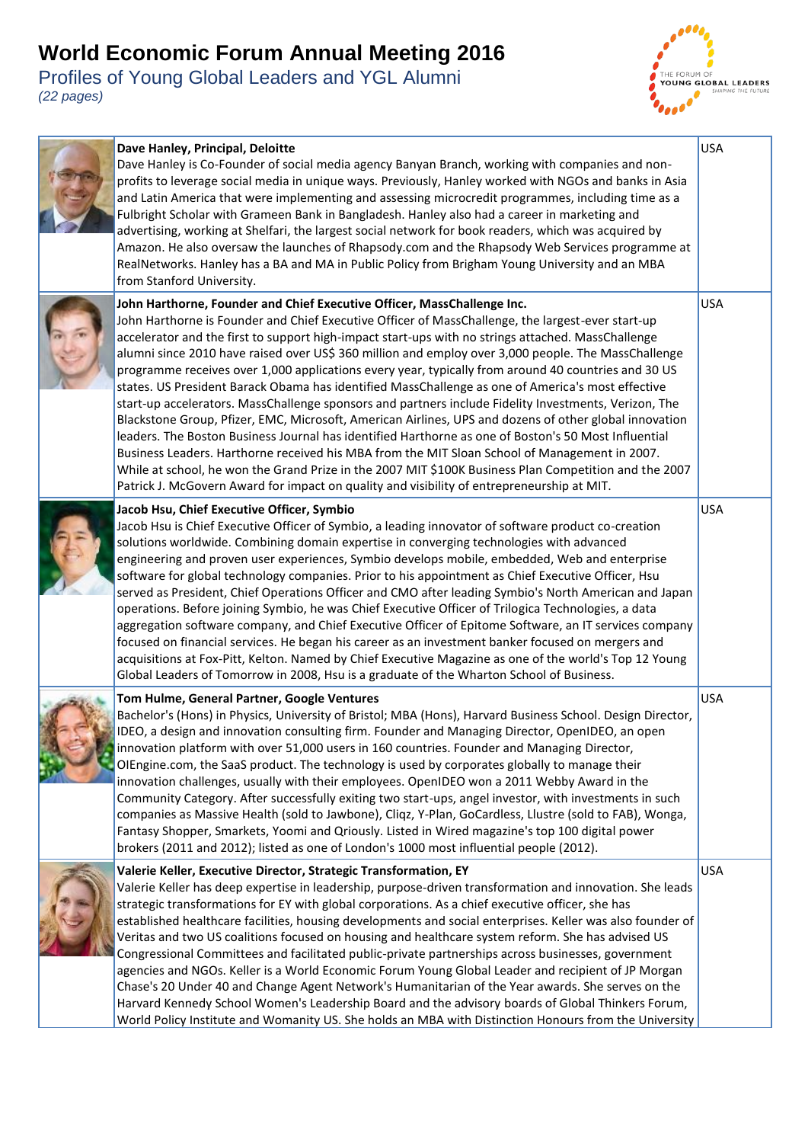

| Dave Hanley, Principal, Deloitte<br>Dave Hanley is Co-Founder of social media agency Banyan Branch, working with companies and non-<br>profits to leverage social media in unique ways. Previously, Hanley worked with NGOs and banks in Asia<br>and Latin America that were implementing and assessing microcredit programmes, including time as a<br>Fulbright Scholar with Grameen Bank in Bangladesh. Hanley also had a career in marketing and<br>advertising, working at Shelfari, the largest social network for book readers, which was acquired by<br>Amazon. He also oversaw the launches of Rhapsody.com and the Rhapsody Web Services programme at<br>RealNetworks. Hanley has a BA and MA in Public Policy from Brigham Young University and an MBA<br>from Stanford University.                                                                                                                                                                                                                                                                                                                                                                                                                                            | <b>USA</b> |
|------------------------------------------------------------------------------------------------------------------------------------------------------------------------------------------------------------------------------------------------------------------------------------------------------------------------------------------------------------------------------------------------------------------------------------------------------------------------------------------------------------------------------------------------------------------------------------------------------------------------------------------------------------------------------------------------------------------------------------------------------------------------------------------------------------------------------------------------------------------------------------------------------------------------------------------------------------------------------------------------------------------------------------------------------------------------------------------------------------------------------------------------------------------------------------------------------------------------------------------|------------|
| John Harthorne, Founder and Chief Executive Officer, MassChallenge Inc.<br>John Harthorne is Founder and Chief Executive Officer of MassChallenge, the largest-ever start-up<br>accelerator and the first to support high-impact start-ups with no strings attached. MassChallenge<br>alumni since 2010 have raised over US\$ 360 million and employ over 3,000 people. The MassChallenge<br>programme receives over 1,000 applications every year, typically from around 40 countries and 30 US<br>states. US President Barack Obama has identified MassChallenge as one of America's most effective<br>start-up accelerators. MassChallenge sponsors and partners include Fidelity Investments, Verizon, The<br>Blackstone Group, Pfizer, EMC, Microsoft, American Airlines, UPS and dozens of other global innovation<br>leaders. The Boston Business Journal has identified Harthorne as one of Boston's 50 Most Influential<br>Business Leaders. Harthorne received his MBA from the MIT Sloan School of Management in 2007.<br>While at school, he won the Grand Prize in the 2007 MIT \$100K Business Plan Competition and the 2007<br>Patrick J. McGovern Award for impact on quality and visibility of entrepreneurship at MIT. | <b>USA</b> |
| Jacob Hsu, Chief Executive Officer, Symbio<br>Jacob Hsu is Chief Executive Officer of Symbio, a leading innovator of software product co-creation<br>solutions worldwide. Combining domain expertise in converging technologies with advanced<br>engineering and proven user experiences, Symbio develops mobile, embedded, Web and enterprise<br>software for global technology companies. Prior to his appointment as Chief Executive Officer, Hsu<br>served as President, Chief Operations Officer and CMO after leading Symbio's North American and Japan<br>operations. Before joining Symbio, he was Chief Executive Officer of Trilogica Technologies, a data<br>aggregation software company, and Chief Executive Officer of Epitome Software, an IT services company<br>focused on financial services. He began his career as an investment banker focused on mergers and<br>acquisitions at Fox-Pitt, Kelton. Named by Chief Executive Magazine as one of the world's Top 12 Young<br>Global Leaders of Tomorrow in 2008, Hsu is a graduate of the Wharton School of Business.                                                                                                                                                 | <b>USA</b> |
| Tom Hulme, General Partner, Google Ventures<br>Bachelor's (Hons) in Physics, University of Bristol; MBA (Hons), Harvard Business School. Design Director,<br>IDEO, a design and innovation consulting firm. Founder and Managing Director, OpenIDEO, an open<br>innovation platform with over 51,000 users in 160 countries. Founder and Managing Director,<br>OlEngine.com, the SaaS product. The technology is used by corporates globally to manage their<br>innovation challenges, usually with their employees. OpenIDEO won a 2011 Webby Award in the<br>Community Category. After successfully exiting two start-ups, angel investor, with investments in such<br>companies as Massive Health (sold to Jawbone), Cliqz, Y-Plan, GoCardless, Llustre (sold to FAB), Wonga,<br>Fantasy Shopper, Smarkets, Yoomi and Qriously. Listed in Wired magazine's top 100 digital power<br>brokers (2011 and 2012); listed as one of London's 1000 most influential people (2012).                                                                                                                                                                                                                                                           | <b>USA</b> |
| Valerie Keller, Executive Director, Strategic Transformation, EY<br>Valerie Keller has deep expertise in leadership, purpose-driven transformation and innovation. She leads<br>strategic transformations for EY with global corporations. As a chief executive officer, she has<br>established healthcare facilities, housing developments and social enterprises. Keller was also founder of<br>Veritas and two US coalitions focused on housing and healthcare system reform. She has advised US<br>Congressional Committees and facilitated public-private partnerships across businesses, government<br>agencies and NGOs. Keller is a World Economic Forum Young Global Leader and recipient of JP Morgan<br>Chase's 20 Under 40 and Change Agent Network's Humanitarian of the Year awards. She serves on the<br>Harvard Kennedy School Women's Leadership Board and the advisory boards of Global Thinkers Forum,<br>World Policy Institute and Womanity US. She holds an MBA with Distinction Honours from the University                                                                                                                                                                                                       | <b>USA</b> |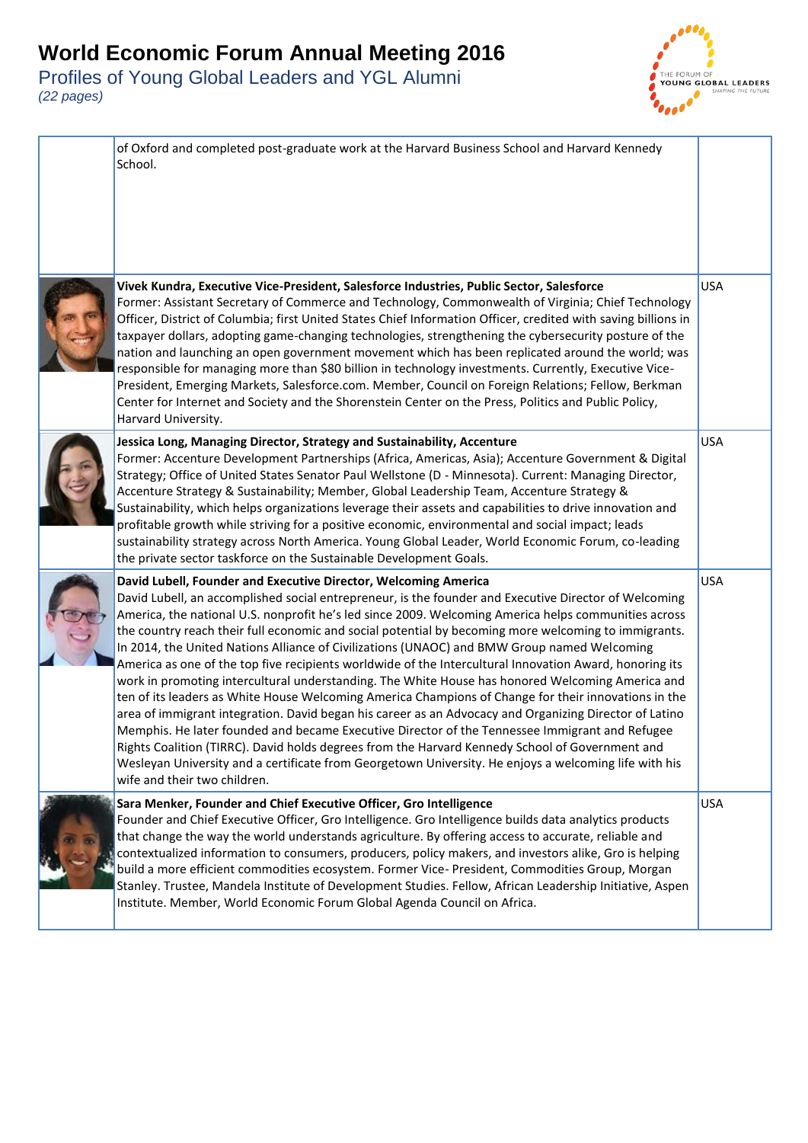

| of Oxford and completed post-graduate work at the Harvard Business School and Harvard Kennedy<br>School.                                                                                                                                                                                                                                                                                                                                                                                                                                                                                                                                                                                                                                                                                                                                                                                                                                                                                                                                                                                                                                                                                                                                                               |            |
|------------------------------------------------------------------------------------------------------------------------------------------------------------------------------------------------------------------------------------------------------------------------------------------------------------------------------------------------------------------------------------------------------------------------------------------------------------------------------------------------------------------------------------------------------------------------------------------------------------------------------------------------------------------------------------------------------------------------------------------------------------------------------------------------------------------------------------------------------------------------------------------------------------------------------------------------------------------------------------------------------------------------------------------------------------------------------------------------------------------------------------------------------------------------------------------------------------------------------------------------------------------------|------------|
| Vivek Kundra, Executive Vice-President, Salesforce Industries, Public Sector, Salesforce<br>Former: Assistant Secretary of Commerce and Technology, Commonwealth of Virginia; Chief Technology<br>Officer, District of Columbia; first United States Chief Information Officer, credited with saving billions in<br>taxpayer dollars, adopting game-changing technologies, strengthening the cybersecurity posture of the<br>nation and launching an open government movement which has been replicated around the world; was<br>responsible for managing more than \$80 billion in technology investments. Currently, Executive Vice-<br>President, Emerging Markets, Salesforce.com. Member, Council on Foreign Relations; Fellow, Berkman<br>Center for Internet and Society and the Shorenstein Center on the Press, Politics and Public Policy,<br>Harvard University.                                                                                                                                                                                                                                                                                                                                                                                            | <b>USA</b> |
| Jessica Long, Managing Director, Strategy and Sustainability, Accenture<br>Former: Accenture Development Partnerships (Africa, Americas, Asia); Accenture Government & Digital<br>Strategy; Office of United States Senator Paul Wellstone (D - Minnesota). Current: Managing Director,<br>Accenture Strategy & Sustainability; Member, Global Leadership Team, Accenture Strategy &<br>Sustainability, which helps organizations leverage their assets and capabilities to drive innovation and<br>profitable growth while striving for a positive economic, environmental and social impact; leads<br>sustainability strategy across North America. Young Global Leader, World Economic Forum, co-leading<br>the private sector taskforce on the Sustainable Development Goals.                                                                                                                                                                                                                                                                                                                                                                                                                                                                                      | <b>USA</b> |
| David Lubell, Founder and Executive Director, Welcoming America<br>David Lubell, an accomplished social entrepreneur, is the founder and Executive Director of Welcoming<br>America, the national U.S. nonprofit he's led since 2009. Welcoming America helps communities across<br>the country reach their full economic and social potential by becoming more welcoming to immigrants.<br>In 2014, the United Nations Alliance of Civilizations (UNAOC) and BMW Group named Welcoming<br>America as one of the top five recipients worldwide of the Intercultural Innovation Award, honoring its<br>work in promoting intercultural understanding. The White House has honored Welcoming America and<br>ten of its leaders as White House Welcoming America Champions of Change for their innovations in the<br>area of immigrant integration. David began his career as an Advocacy and Organizing Director of Latino<br>Memphis. He later founded and became Executive Director of the Tennessee Immigrant and Refugee<br>Rights Coalition (TIRRC). David holds degrees from the Harvard Kennedy School of Government and<br>Wesleyan University and a certificate from Georgetown University. He enjoys a welcoming life with his<br>wife and their two children. | <b>USA</b> |
| Sara Menker, Founder and Chief Executive Officer, Gro Intelligence<br>Founder and Chief Executive Officer, Gro Intelligence. Gro Intelligence builds data analytics products<br>that change the way the world understands agriculture. By offering access to accurate, reliable and<br>contextualized information to consumers, producers, policy makers, and investors alike, Gro is helping<br>build a more efficient commodities ecosystem. Former Vice- President, Commodities Group, Morgan<br>Stanley. Trustee, Mandela Institute of Development Studies. Fellow, African Leadership Initiative, Aspen<br>Institute. Member, World Economic Forum Global Agenda Council on Africa.                                                                                                                                                                                                                                                                                                                                                                                                                                                                                                                                                                               | <b>USA</b> |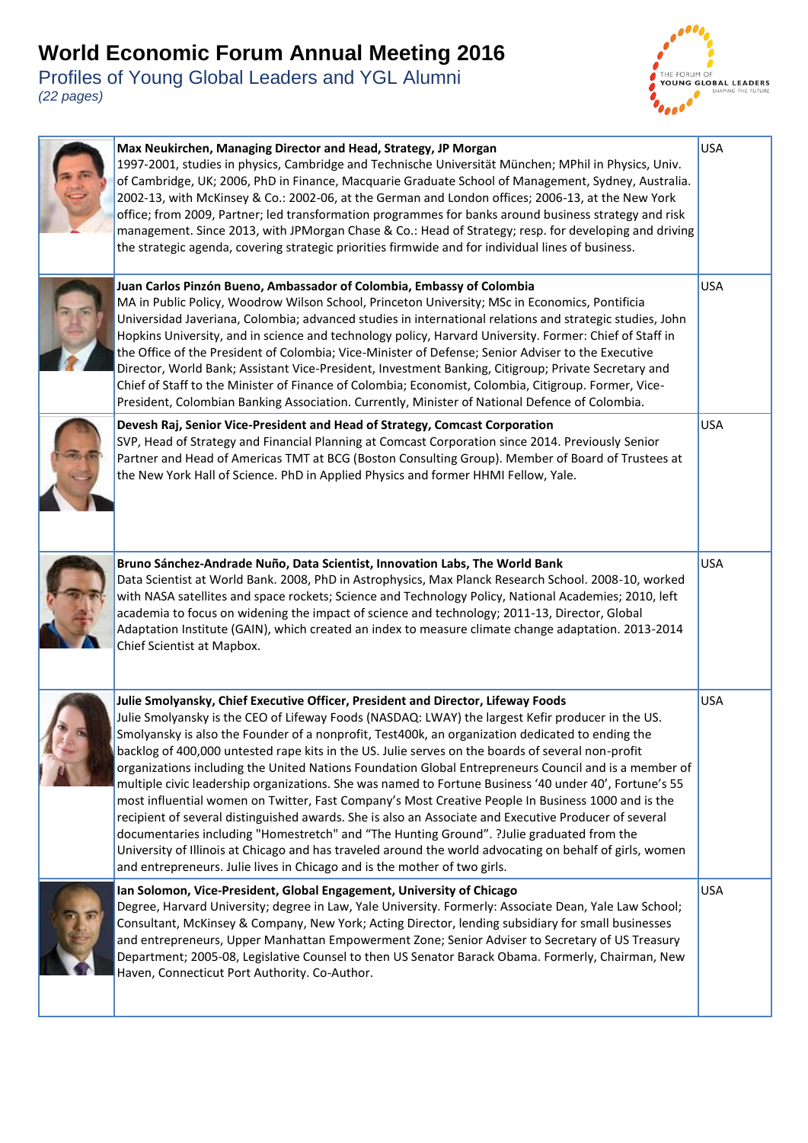